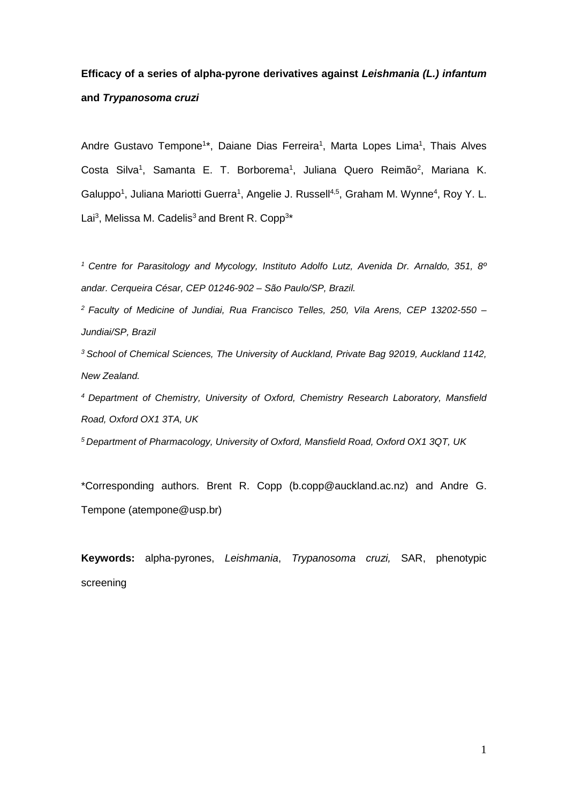# **Efficacy of a series of alpha-pyrone derivatives against** *Leishmania (L.) infantum* **and** *Trypanosoma cruzi*

Andre Gustavo Tempone<sup>1\*</sup>, Daiane Dias Ferreira<sup>1</sup>, Marta Lopes Lima<sup>1</sup>, Thais Alves Costa Silva<sup>1</sup>, Samanta E. T. Borborema<sup>1</sup>, Juliana Quero Reimão<sup>2</sup>, Mariana K. Galuppo<sup>1</sup>, Juliana Mariotti Guerra<sup>1</sup>, Angelie J. Russell<sup>4,5</sup>, Graham M. Wynne<sup>4</sup>, Roy Y. L. Lai<sup>3</sup>, Melissa M. Cadelis<sup>3</sup> and Brent R. Copp<sup>3\*</sup>

*<sup>1</sup> Centre for Parasitology and Mycology, Instituto Adolfo Lutz, Avenida Dr. Arnaldo, 351, 8º andar. Cerqueira César, CEP 01246-902 – São Paulo/SP, Brazil.*

*<sup>2</sup> Faculty of Medicine of Jundiai, Rua Francisco Telles, 250, Vila Arens, CEP 13202-550 – Jundiai/SP, Brazil*

*<sup>3</sup> School of Chemical Sciences, The University of Auckland, Private Bag 92019, Auckland 1142, New Zealand.*

*4 Department of Chemistry, University of Oxford, Chemistry Research Laboratory, Mansfield Road, Oxford OX1 3TA, UK*

*5 Department of Pharmacology, University of Oxford, Mansfield Road, Oxford OX1 3QT, UK*

\*Corresponding authors. Brent R. Copp (b.copp@auckland.ac.nz) and Andre G. Tempone (atempone@usp.br)

**Keywords:** alpha-pyrones, *Leishmania*, *Trypanosoma cruzi,* SAR, phenotypic screening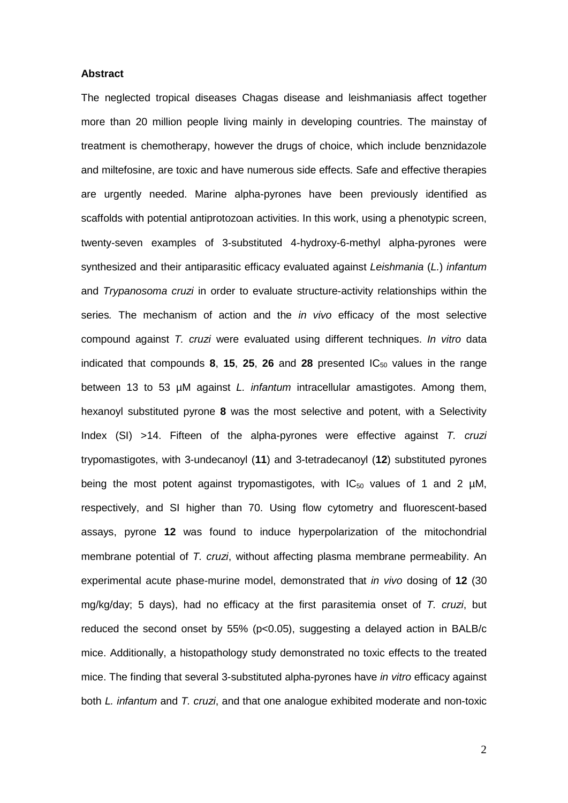# **Abstract**

The neglected tropical diseases Chagas disease and leishmaniasis affect together more than 20 million people living mainly in developing countries. The mainstay of treatment is chemotherapy, however the drugs of choice, which include benznidazole and miltefosine, are toxic and have numerous side effects. Safe and effective therapies are urgently needed. Marine alpha-pyrones have been previously identified as scaffolds with potential antiprotozoan activities. In this work, using a phenotypic screen, twenty-seven examples of 3-substituted 4-hydroxy-6-methyl alpha-pyrones were synthesized and their antiparasitic efficacy evaluated against *Leishmania* (*L.*) *infantum*  and *Trypanosoma cruzi* in order to evaluate structure-activity relationships within the series*.* The mechanism of action and the *in vivo* efficacy of the most selective compound against *T. cruzi* were evaluated using different techniques. *In vitro* data indicated that compounds 8, 15, 25, 26 and 28 presented IC<sub>50</sub> values in the range between 13 to 53 µM against *L. infantum* intracellular amastigotes. Among them, hexanoyl substituted pyrone **8** was the most selective and potent, with a Selectivity Index (SI) >14. Fifteen of the alpha-pyrones were effective against *T. cruzi* trypomastigotes, with 3-undecanoyl (**11**) and 3-tetradecanoyl (**12**) substituted pyrones being the most potent against trypomastigotes, with  $IC_{50}$  values of 1 and 2 µM, respectively, and SI higher than 70. Using flow cytometry and fluorescent-based assays, pyrone **12** was found to induce hyperpolarization of the mitochondrial membrane potential of *T. cruzi*, without affecting plasma membrane permeability. An experimental acute phase-murine model, demonstrated that *in vivo* dosing of **12** (30 mg/kg/day; 5 days), had no efficacy at the first parasitemia onset of *T. cruzi*, but reduced the second onset by 55% ( $p<0.05$ ), suggesting a delayed action in BALB/c mice. Additionally, a histopathology study demonstrated no toxic effects to the treated mice. The finding that several 3-substituted alpha-pyrones have *in vitro* efficacy against both *L. infantum* and *T. cruzi*, and that one analogue exhibited moderate and non-toxic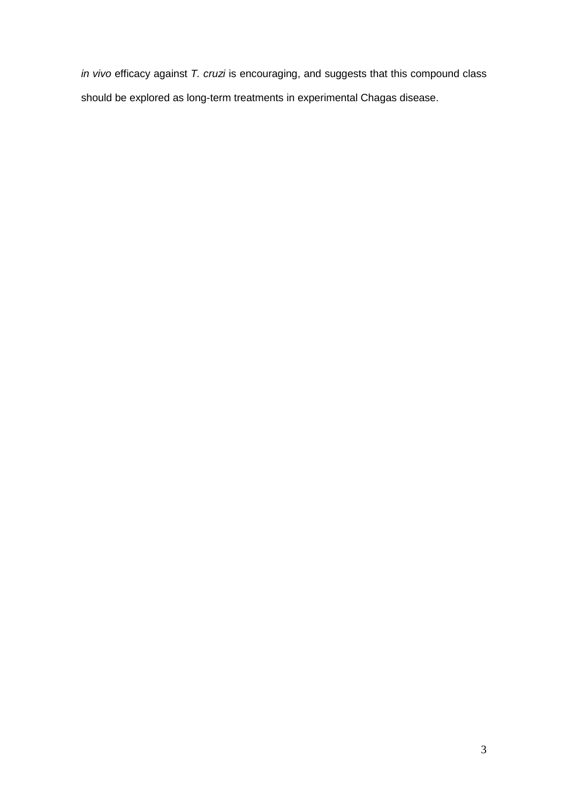*in vivo* efficacy against *T. cruzi* is encouraging, and suggests that this compound class should be explored as long-term treatments in experimental Chagas disease.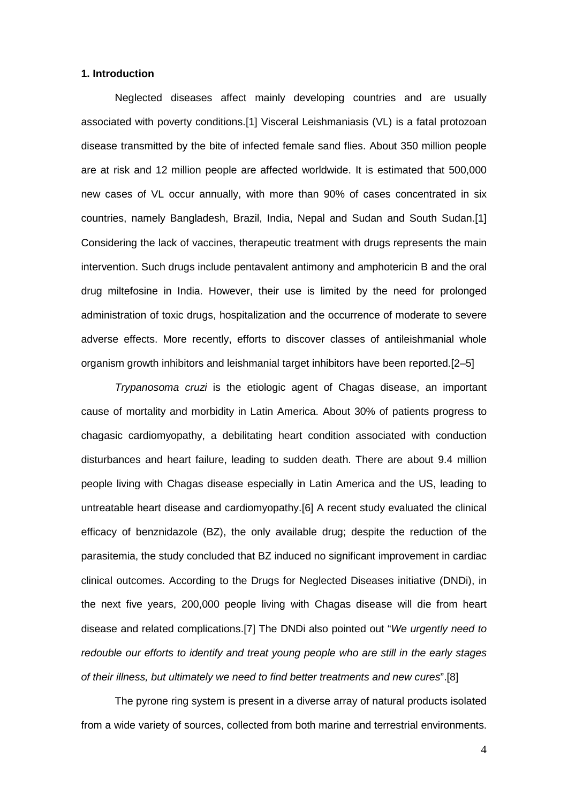## **1. Introduction**

Neglected diseases affect mainly developing countries and are usually associated with poverty conditions.[1] Visceral Leishmaniasis (VL) is a fatal protozoan disease transmitted by the bite of infected female sand flies. About 350 million people are at risk and 12 million people are affected worldwide. It is estimated that 500,000 new cases of VL occur annually, with more than 90% of cases concentrated in six countries, namely Bangladesh, Brazil, India, Nepal and Sudan and South Sudan.[1] Considering the lack of vaccines, therapeutic treatment with drugs represents the main intervention. Such drugs include pentavalent antimony and amphotericin B and the oral drug miltefosine in India. However, their use is limited by the need for prolonged administration of toxic drugs, hospitalization and the occurrence of moderate to severe adverse effects. More recently, efforts to discover classes of antileishmanial whole organism growth inhibitors and leishmanial target inhibitors have been reported.[2–5]

*Trypanosoma cruzi* is the etiologic agent of Chagas disease, an important cause of mortality and morbidity in Latin America. About 30% of patients progress to chagasic cardiomyopathy, a debilitating heart condition associated with conduction disturbances and heart failure, leading to sudden death. There are about 9.4 million people living with Chagas disease especially in Latin America and the US, leading to untreatable heart disease and cardiomyopathy.[6] A recent study evaluated the clinical efficacy of benznidazole (BZ), the only available drug; despite the reduction of the parasitemia, the study concluded that BZ induced no significant improvement in cardiac clinical outcomes. According to the Drugs for Neglected Diseases initiative (DNDi), in the next five years, 200,000 people living with Chagas disease will die from heart disease and related complications.[7] The DNDi also pointed out "*We urgently need to redouble our efforts to identify and treat young people who are still in the early stages of their illness, but ultimately we need to find better treatments and new cures*".[8]

The pyrone ring system is present in a diverse array of natural products isolated from a wide variety of sources, collected from both marine and terrestrial environments.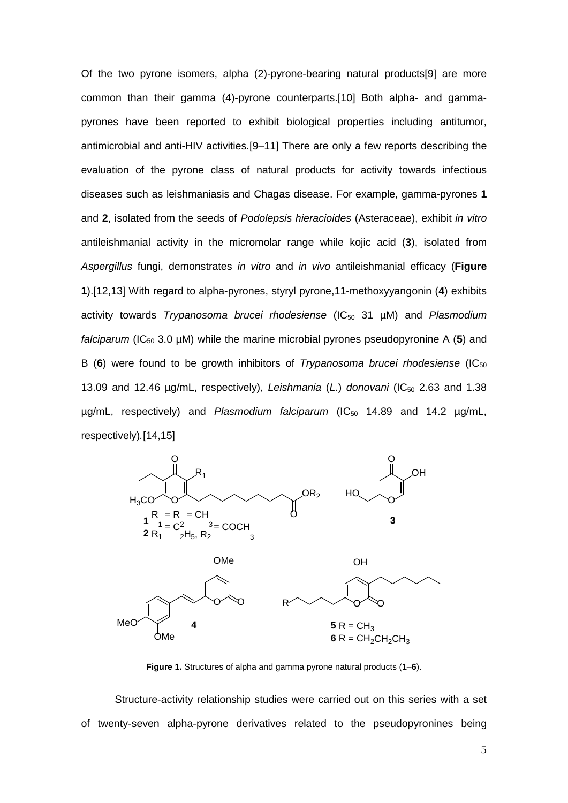Of the two pyrone isomers, alpha (2)-pyrone-bearing natural products[9] are more common than their gamma (4)-pyrone counterparts.[10] Both alpha- and gammapyrones have been reported to exhibit biological properties including antitumor, antimicrobial and anti-HIV activities.[9–11] There are only a few reports describing the evaluation of the pyrone class of natural products for activity towards infectious diseases such as leishmaniasis and Chagas disease. For example, gamma-pyrones **1** and **2**, isolated from the seeds of *Podolepsis hieracioides* (Asteraceae), exhibit *in vitro* antileishmanial activity in the micromolar range while kojic acid (**3**), isolated from *Aspergillus* fungi, demonstrates *in vitro* and *in vivo* antileishmanial efficacy (**Figure 1**).[12,13] With regard to alpha-pyrones, styryl pyrone,11-methoxyyangonin (**4**) exhibits activity towards *Trypanosoma brucei rhodesiense* (IC50 31 µM) and *Plasmodium falciparum* (IC<sub>50</sub> 3.0  $\mu$ M) while the marine microbial pyrones pseudopyronine A (5) and B (6) were found to be growth inhibitors of *Trypanosoma brucei rhodesiense* (IC<sub>50</sub>) 13.09 and 12.46 µg/mL, respectively)*, Leishmania* (*L.*) *donovani* (IC50 2.63 and 1.38 µg/mL, respectively) and Plasmodium falciparum (IC<sub>50</sub> 14.89 and 14.2 µg/mL, respectively)*.*[14,15]



**Figure 1.** Structures of alpha and gamma pyrone natural products (**1**–**6**).

Structure-activity relationship studies were carried out on this series with a set of twenty-seven alpha-pyrone derivatives related to the pseudopyronines being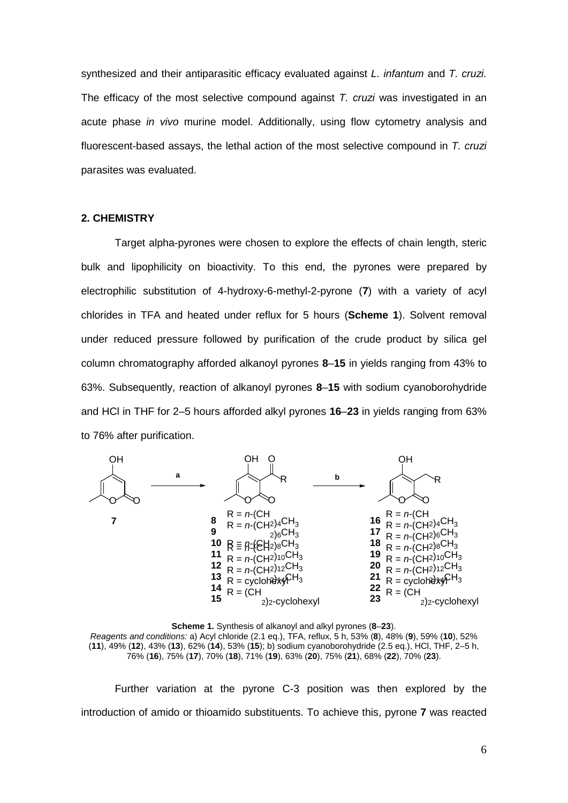synthesized and their antiparasitic efficacy evaluated against *L. infantum* and *T. cruzi.* The efficacy of the most selective compound against *T. cruzi* was investigated in an acute phase *in vivo* murine model. Additionally, using flow cytometry analysis and fluorescent-based assays, the lethal action of the most selective compound in *T. cruzi* parasites was evaluated.

# **2. CHEMISTRY**

Target alpha-pyrones were chosen to explore the effects of chain length, steric bulk and lipophilicity on bioactivity. To this end, the pyrones were prepared by electrophilic substitution of 4-hydroxy-6-methyl-2-pyrone (**7**) with a variety of acyl chlorides in TFA and heated under reflux for 5 hours (**Scheme 1**). Solvent removal under reduced pressure followed by purification of the crude product by silica gel column chromatography afforded alkanoyl pyrones **8**–**15** in yields ranging from 43% to 63%. Subsequently, reaction of alkanoyl pyrones **8**–**15** with sodium cyanoborohydride and HCl in THF for 2–5 hours afforded alkyl pyrones **16**–**23** in yields ranging from 63% to 76% after purification.





Further variation at the pyrone C-3 position was then explored by the introduction of amido or thioamido substituents. To achieve this, pyrone **7** was reacted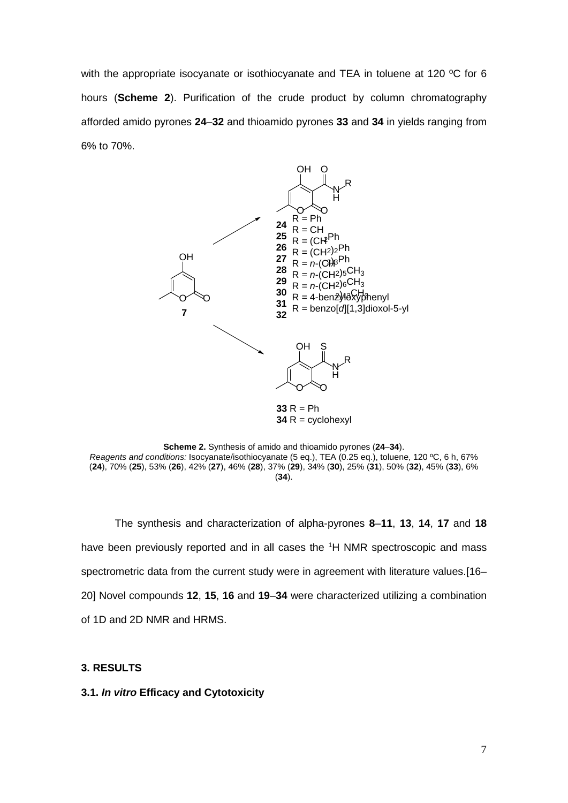with the appropriate isocyanate or isothiocyanate and TEA in toluene at 120 °C for 6 hours (**Scheme 2**). Purification of the crude product by column chromatography afforded amido pyrones **24**–**32** and thioamido pyrones **33** and **34** in yields ranging from 6% to 70%.



**Scheme 2.** Synthesis of amido and thioamido pyrones (**24**–**34**). *Reagents and conditions:* Isocyanate/isothiocyanate (5 eq.), TEA (0.25 eq.), toluene, 120 ºC, 6 h, 67% (**24**), 70% (**25**), 53% (**26**), 42% (**27**), 46% (**28**), 37% (**29**), 34% (**30**), 25% (**31**), 50% (**32**), 45% (**33**), 6% (**34**).

The synthesis and characterization of alpha-pyrones **8**–**11**, **13**, **14**, **17** and **18** have been previously reported and in all cases the <sup>1</sup>H NMR spectroscopic and mass spectrometric data from the current study were in agreement with literature values.[16– 20] Novel compounds **12**, **15**, **16** and **19**–**34** were characterized utilizing a combination of 1D and 2D NMR and HRMS.

# **3. RESULTS**

## **3.1.** *In vitro* **Efficacy and Cytotoxicity**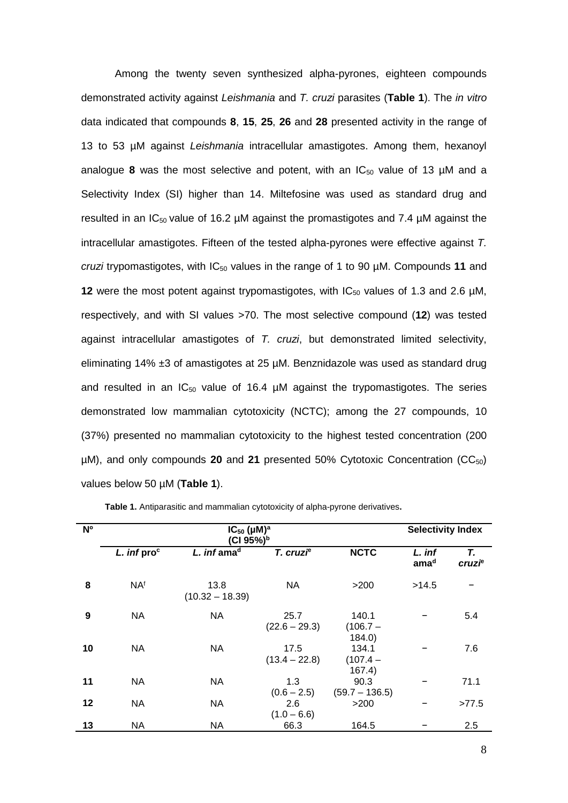Among the twenty seven synthesized alpha-pyrones, eighteen compounds demonstrated activity against *Leishmania* and *T. cruzi* parasites (**Table 1**). The *in vitro* data indicated that compounds **8**, **15**, **25**, **26** and **28** presented activity in the range of 13 to 53 µM against *Leishmania* intracellular amastigotes. Among them, hexanoyl analogue 8 was the most selective and potent, with an  $IC_{50}$  value of 13  $µM$  and a Selectivity Index (SI) higher than 14. Miltefosine was used as standard drug and resulted in an  $IC_{50}$  value of 16.2 µM against the promastigotes and 7.4 µM against the intracellular amastigotes. Fifteen of the tested alpha-pyrones were effective against *T. cruzi* trypomastigotes, with IC50 values in the range of 1 to 90 µM. Compounds **11** and **12** were the most potent against trypomastigotes, with  $IC_{50}$  values of 1.3 and 2.6  $\mu$ M, respectively, and with SI values >70. The most selective compound (**12**) was tested against intracellular amastigotes of *T. cruzi*, but demonstrated limited selectivity, eliminating 14% ±3 of amastigotes at 25 µM. Benznidazole was used as standard drug and resulted in an  $IC_{50}$  value of 16.4  $\mu$ M against the trypomastigotes. The series demonstrated low mammalian cytotoxicity (NCTC); among the 27 compounds, 10 (37%) presented no mammalian cytotoxicity to the highest tested concentration (200 µM), and only compounds 20 and 21 presented 50% Cytotoxic Concentration (CC<sub>50</sub>) values below 50 µM (**Table 1**).

| N <sup>o</sup> | $IC_{50}$ ( $µ$ M) <sup>a</sup><br>(CI 95%) <sup>b</sup> |                           |                         |                               |                            | <b>Selectivity Index</b> |  |
|----------------|----------------------------------------------------------|---------------------------|-------------------------|-------------------------------|----------------------------|--------------------------|--|
|                | $L.$ inf pro $c$                                         | L. inf ama <sup>d</sup>   | T. cruzi <sup>e</sup>   | <b>NCTC</b>                   | L. inf<br>ama <sup>d</sup> | Т.<br>cruzi <sup>e</sup> |  |
| 8              | <b>NAf</b>                                               | 13.8<br>$(10.32 - 18.39)$ | <b>NA</b>               | >200                          | >14.5                      |                          |  |
| 9              | <b>NA</b>                                                | <b>NA</b>                 | 25.7<br>$(22.6 - 29.3)$ | 140.1<br>$(106.7 -$<br>184.0  |                            | 5.4                      |  |
| 10             | <b>NA</b>                                                | <b>NA</b>                 | 17.5<br>$(13.4 - 22.8)$ | 134.1<br>$(107.4 -$<br>167.4) |                            | 7.6                      |  |
| 11             | <b>NA</b>                                                | <b>NA</b>                 | 1.3<br>$(0.6 - 2.5)$    | 90.3<br>$(59.7 - 136.5)$      |                            | 71.1                     |  |
| 12             | <b>NA</b>                                                | <b>NA</b>                 | 2.6<br>$(1.0 - 6.6)$    | >200                          |                            | >77.5                    |  |
| 13             | NA                                                       | NA                        | 66.3                    | 164.5                         |                            | 2.5                      |  |

**Table 1.** Antiparasitic and mammalian cytotoxicity of alpha-pyrone derivatives**.**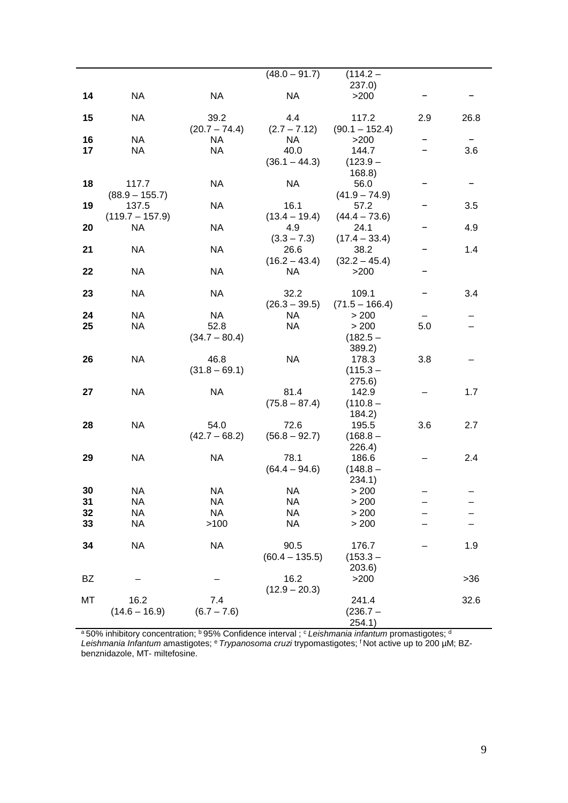|          |                        |                 | $(48.0 - 91.7)$  | $(114.2 -$       |     |       |
|----------|------------------------|-----------------|------------------|------------------|-----|-------|
|          |                        |                 |                  | 237.0)           |     |       |
| 14       | <b>NA</b>              | NA              | <b>NA</b>        | >200             |     |       |
| 15       | NA.                    | 39.2            | 4.4              | 117.2            | 2.9 | 26.8  |
|          |                        | $(20.7 - 74.4)$ | $(2.7 - 7.12)$   | $(90.1 - 152.4)$ |     |       |
| 16       | <b>NA</b>              | NA.             | <b>NA</b>        | >200             |     |       |
| 17       | <b>NA</b>              | <b>NA</b>       | 40.0             | 144.7            |     | 3.6   |
|          |                        |                 | $(36.1 - 44.3)$  | $(123.9 -$       |     |       |
|          |                        |                 |                  | 168.8)           |     |       |
| 18       | 117.7                  | <b>NA</b>       | <b>NA</b>        | 56.0             |     |       |
|          | $(88.9 - 155.7)$       |                 |                  | $(41.9 - 74.9)$  |     |       |
| 19       | 137.5                  | <b>NA</b>       | 16.1             | 57.2             |     | 3.5   |
|          | $(119.7 - 157.9)$      |                 | $(13.4 - 19.4)$  | $(44.4 - 73.6)$  |     |       |
| 20       | <b>NA</b>              | NA              | 4.9              | 24.1             |     | 4.9   |
|          |                        |                 | $(3.3 - 7.3)$    | $(17.4 - 33.4)$  |     |       |
| 21       | <b>NA</b>              | <b>NA</b>       | 26.6             | 38.2             |     | 1.4   |
|          |                        |                 | $(16.2 - 43.4)$  | $(32.2 - 45.4)$  |     |       |
| 22       | <b>NA</b>              | <b>NA</b>       | <b>NA</b>        | $>200$           |     |       |
|          |                        |                 |                  |                  |     |       |
| 23       | <b>NA</b>              | <b>NA</b>       | 32.2             | 109.1            |     | 3.4   |
|          |                        |                 | $(26.3 - 39.5)$  | $(71.5 - 166.4)$ |     |       |
| 24       | <b>NA</b>              | <b>NA</b>       | NA.              | > 200            |     |       |
| 25       | <b>NA</b>              | 52.8            | <b>NA</b>        | > 200            | 5.0 |       |
|          |                        | $(34.7 - 80.4)$ |                  | $(182.5 -$       |     |       |
|          |                        |                 |                  | 389.2)           |     |       |
| 26       | NA                     | 46.8            | <b>NA</b>        | 178.3            | 3.8 |       |
|          |                        | $(31.8 - 69.1)$ |                  | $(115.3 -$       |     |       |
|          |                        |                 |                  | 275.6)           |     |       |
| 27       | <b>NA</b>              | <b>NA</b>       | 81.4             | 142.9            |     | 1.7   |
|          |                        |                 | $(75.8 - 87.4)$  | $(110.8 -$       |     |       |
|          |                        |                 |                  | 184.2)           |     |       |
| 28       | <b>NA</b>              | 54.0            | 72.6             | 195.5            | 3.6 | 2.7   |
|          |                        | $(42.7 - 68.2)$ | $(56.8 - 92.7)$  | $(168.8 -$       |     |       |
|          |                        |                 |                  | 226.4)           |     |       |
| 29       | <b>NA</b>              | <b>NA</b>       | 78.1             | 186.6            |     | 2.4   |
|          |                        |                 | $(64.4 - 94.6)$  | $(148.8 -$       |     |       |
|          |                        |                 |                  | 234.1)           |     |       |
| 30       | <b>NA</b>              | <b>NA</b>       | <b>NA</b>        | > 200            |     |       |
| 31<br>32 | <b>NA</b><br><b>NA</b> | NA<br><b>NA</b> | NA<br><b>NA</b>  | > 200<br>> 200   |     |       |
| 33       | ΝA                     | >100            | NA               | > 200            |     |       |
|          |                        |                 |                  |                  |     |       |
| 34       | <b>NA</b>              | <b>NA</b>       | 90.5             | 176.7            |     | 1.9   |
|          |                        |                 | $(60.4 - 135.5)$ | $(153.3 -$       |     |       |
|          |                        |                 |                  | 203.6)           |     |       |
| BZ       |                        |                 | 16.2             | >200             |     | $>36$ |
|          |                        |                 | $(12.9 - 20.3)$  |                  |     |       |
| МT       | 16.2                   | 7.4             |                  | 241.4            |     | 32.6  |
|          | $(14.6 - 16.9)$        | $(6.7 - 7.6)$   |                  | $(236.7 -$       |     |       |
|          |                        |                 |                  | 254.1)           |     |       |

<sup>a</sup> 50% inhibitory concentration; <sup>b</sup> 95% Confidence interval ; <sup>c</sup> Leis*hmania infantum* promastigotes; <sup>d</sup> *Leishmania Infantum* amastigotes; e *Trypanosoma cruzi* trypomastigotes; f Not active up to 200 µM; BZbenznidazole, MT- miltefosine.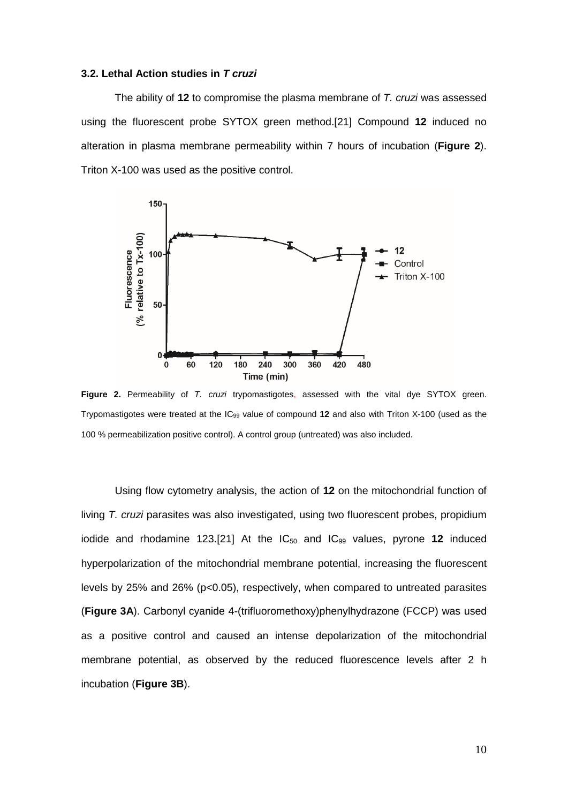#### **3.2. Lethal Action studies in** *T cruzi*

The ability of **12** to compromise the plasma membrane of *T. cruzi* was assessed using the fluorescent probe SYTOX green method.[21] Compound **12** induced no alteration in plasma membrane permeability within 7 hours of incubation (**Figure 2**). Triton X-100 was used as the positive control.



**Figure 2.** Permeability of *T. cruzi* trypomastigotes, assessed with the vital dye SYTOX green. Trypomastigotes were treated at the IC99 value of compound **12** and also with Triton X-100 (used as the 100 % permeabilization positive control). A control group (untreated) was also included.

Using flow cytometry analysis, the action of **12** on the mitochondrial function of living *T. cruzi* parasites was also investigated, using two fluorescent probes, propidium iodide and rhodamine 123.[21] At the  $IC_{50}$  and  $IC_{99}$  values, pyrone 12 induced hyperpolarization of the mitochondrial membrane potential, increasing the fluorescent levels by 25% and 26% (p<0.05), respectively, when compared to untreated parasites (**Figure 3A**). Carbonyl cyanide 4-(trifluoromethoxy)phenylhydrazone (FCCP) was used as a positive control and caused an intense depolarization of the mitochondrial membrane potential, as observed by the reduced fluorescence levels after 2 h incubation (**Figure 3B**).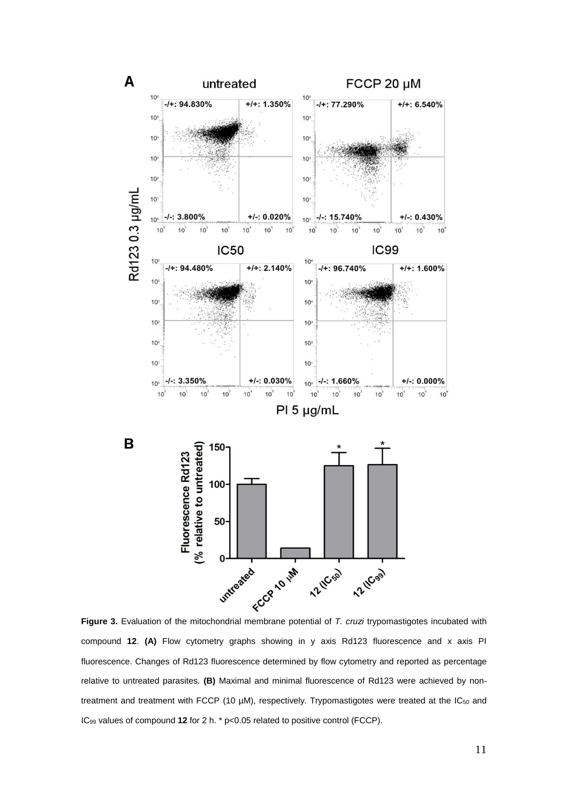

compound **12**. **(A)** Flow cytometry graphs showing in y axis Rd123 fluorescence and x axis PI fluorescence. Changes of Rd123 fluorescence determined by flow cytometry and reported as percentage relative to untreated parasites. **(B)** Maximal and minimal fluorescence of Rd123 were achieved by nontreatment and treatment with FCCP (10  $\mu$ M), respectively. Trypomastigotes were treated at the IC<sub>50</sub> and IC99 values of compound **12** for 2 h. \* p<0.05 related to positive control (FCCP).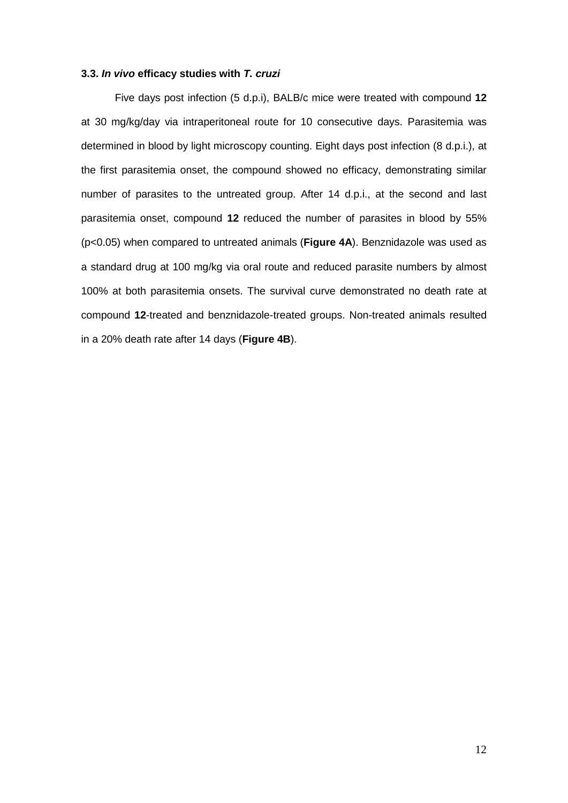## **3.3.** *In vivo* **efficacy studies with** *T. cruzi*

Five days post infection (5 d.p.i), BALB/c mice were treated with compound **12** at 30 mg/kg/day via intraperitoneal route for 10 consecutive days. Parasitemia was determined in blood by light microscopy counting. Eight days post infection (8 d.p.i.), at the first parasitemia onset, the compound showed no efficacy, demonstrating similar number of parasites to the untreated group. After 14 d.p.i., at the second and last parasitemia onset, compound **12** reduced the number of parasites in blood by 55% (p<0.05) when compared to untreated animals (**Figure 4A**). Benznidazole was used as a standard drug at 100 mg/kg via oral route and reduced parasite numbers by almost 100% at both parasitemia onsets. The survival curve demonstrated no death rate at compound **12**-treated and benznidazole-treated groups. Non-treated animals resulted in a 20% death rate after 14 days (**Figure 4B**).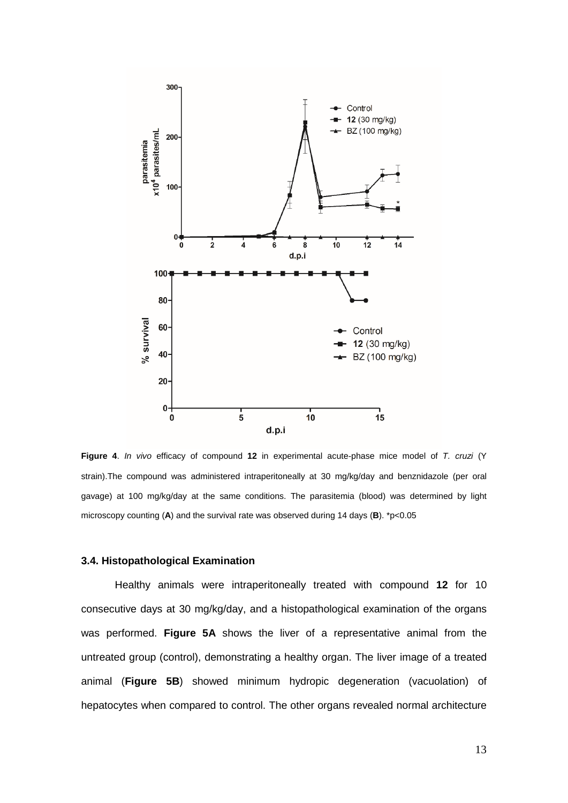

**Figure 4**. *In vivo* efficacy of compound **12** in experimental acute-phase mice model of *T. cruzi* (Y strain).The compound was administered intraperitoneally at 30 mg/kg/day and benznidazole (per oral gavage) at 100 mg/kg/day at the same conditions. The parasitemia (blood) was determined by light microscopy counting (**A**) and the survival rate was observed during 14 days (**B**). \*p<0.05

# **3.4. Histopathological Examination**

Healthy animals were intraperitoneally treated with compound **12** for 10 consecutive days at 30 mg/kg/day, and a histopathological examination of the organs was performed. **Figure 5A** shows the liver of a representative animal from the untreated group (control), demonstrating a healthy organ. The liver image of a treated animal (**Figure 5B**) showed minimum hydropic degeneration (vacuolation) of hepatocytes when compared to control. The other organs revealed normal architecture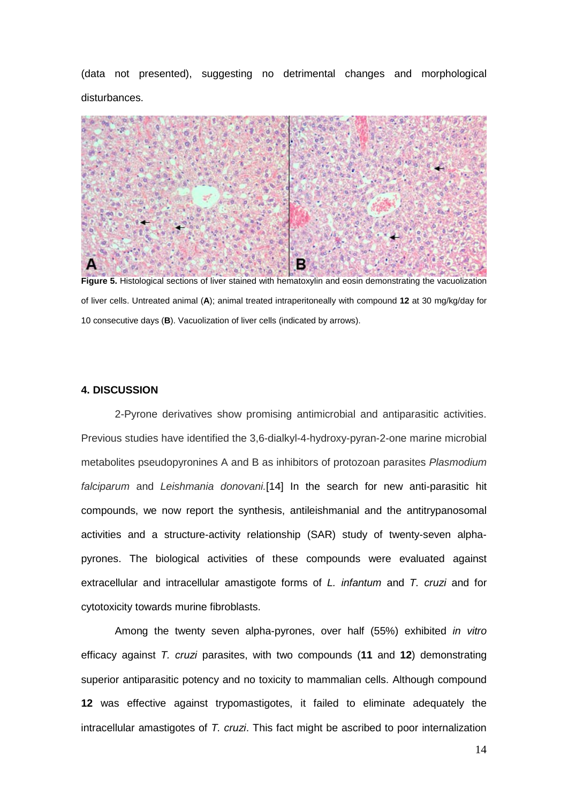(data not presented), suggesting no detrimental changes and morphological disturbances.



**Figure 5.** Histological sections of liver stained with hematoxylin and eosin demonstrating the vacuolization of liver cells. Untreated animal (**A**); animal treated intraperitoneally with compound **12** at 30 mg/kg/day for 10 consecutive days (**B**). Vacuolization of liver cells (indicated by arrows).

### **4. DISCUSSION**

2-Pyrone derivatives show promising antimicrobial and antiparasitic activities. Previous studies have identified the 3,6-dialkyl-4-hydroxy-pyran-2-one marine microbial metabolites pseudopyronines A and B as inhibitors of protozoan parasites *Plasmodium falciparum* and *Leishmania donovani.*[14] In the search for new anti-parasitic hit compounds, we now report the synthesis, antileishmanial and the antitrypanosomal activities and a structure-activity relationship (SAR) study of twenty-seven alphapyrones. The biological activities of these compounds were evaluated against extracellular and intracellular amastigote forms of *L. infantum* and *T. cruzi* and for cytotoxicity towards murine fibroblasts.

Among the twenty seven alpha-pyrones, over half (55%) exhibited *in vitro* efficacy against *T. cruzi* parasites, with two compounds (**11** and **12**) demonstrating superior antiparasitic potency and no toxicity to mammalian cells. Although compound **12** was effective against trypomastigotes, it failed to eliminate adequately the intracellular amastigotes of *T. cruzi*. This fact might be ascribed to poor internalization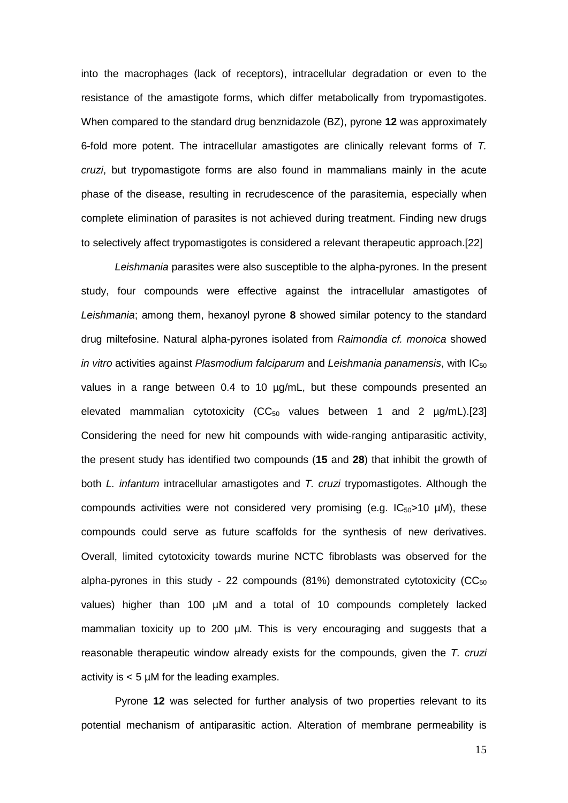into the macrophages (lack of receptors), intracellular degradation or even to the resistance of the amastigote forms, which differ metabolically from trypomastigotes. When compared to the standard drug benznidazole (BZ), pyrone **12** was approximately 6-fold more potent. The intracellular amastigotes are clinically relevant forms of *T. cruzi*, but trypomastigote forms are also found in mammalians mainly in the acute phase of the disease, resulting in recrudescence of the parasitemia, especially when complete elimination of parasites is not achieved during treatment. Finding new drugs to selectively affect trypomastigotes is considered a relevant therapeutic approach.[22]

*Leishmania* parasites were also susceptible to the alpha-pyrones. In the present study, four compounds were effective against the intracellular amastigotes of *Leishmania*; among them, hexanoyl pyrone **8** showed similar potency to the standard drug miltefosine. Natural alpha-pyrones isolated from *Raimondia cf. monoica* showed *in vitro* activities against *Plasmodium falciparum* and *Leishmania panamensis*, with IC<sub>50</sub> values in a range between 0.4 to 10 µg/mL, but these compounds presented an elevated mammalian cytotoxicity ( $CC_{50}$  values between 1 and 2  $\mu$ g/mL).[23] Considering the need for new hit compounds with wide-ranging antiparasitic activity, the present study has identified two compounds (**15** and **28**) that inhibit the growth of both *L. infantum* intracellular amastigotes and *T. cruzi* trypomastigotes. Although the compounds activities were not considered very promising (e.g.  $|C_{50}\rangle$  10 µM), these compounds could serve as future scaffolds for the synthesis of new derivatives. Overall, limited cytotoxicity towards murine NCTC fibroblasts was observed for the alpha-pyrones in this study - 22 compounds  $(81%)$  demonstrated cytotoxicity (CC $_{50}$ ) values) higher than 100 µM and a total of 10 compounds completely lacked mammalian toxicity up to 200 µM. This is very encouraging and suggests that a reasonable therapeutic window already exists for the compounds, given the *T. cruzi* activity is  $< 5 \mu M$  for the leading examples.

Pyrone **12** was selected for further analysis of two properties relevant to its potential mechanism of antiparasitic action. Alteration of membrane permeability is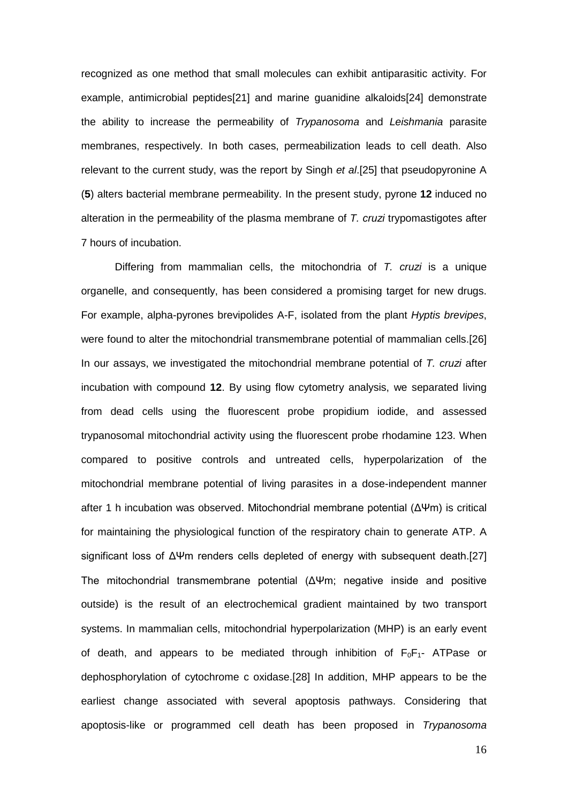recognized as one method that small molecules can exhibit antiparasitic activity. For example, antimicrobial peptides[21] and marine guanidine alkaloids[24] demonstrate the ability to increase the permeability of *Trypanosoma* and *Leishmania* parasite membranes, respectively. In both cases, permeabilization leads to cell death. Also relevant to the current study, was the report by Singh *et al*.[25] that pseudopyronine A (**5**) alters bacterial membrane permeability. In the present study, pyrone **12** induced no alteration in the permeability of the plasma membrane of *T. cruzi* trypomastigotes after 7 hours of incubation.

Differing from mammalian cells, the mitochondria of *T. cruzi* is a unique organelle, and consequently, has been considered a promising target for new drugs. For example, alpha-pyrones brevipolides A-F, isolated from the plant *Hyptis brevipes*, were found to alter the mitochondrial transmembrane potential of mammalian cells.[26] In our assays, we investigated the mitochondrial membrane potential of *T. cruzi* after incubation with compound **12**. By using flow cytometry analysis, we separated living from dead cells using the fluorescent probe propidium iodide, and assessed trypanosomal mitochondrial activity using the fluorescent probe rhodamine 123. When compared to positive controls and untreated cells, hyperpolarization of the mitochondrial membrane potential of living parasites in a dose-independent manner after 1 h incubation was observed. Mitochondrial membrane potential (ΔΨm) is critical for maintaining the physiological function of the respiratory chain to generate ATP. A significant loss of ΔΨm renders cells depleted of energy with subsequent death.[27] The mitochondrial transmembrane potential (ΔΨm; negative inside and positive outside) is the result of an electrochemical gradient maintained by two transport systems. In mammalian cells, mitochondrial hyperpolarization (MHP) is an early event of death, and appears to be mediated through inhibition of  $F_0F_1$ - ATPase or dephosphorylation of cytochrome c oxidase.[28] In addition, MHP appears to be the earliest change associated with several apoptosis pathways. Considering that apoptosis-like or programmed cell death has been proposed in *Trypanosoma*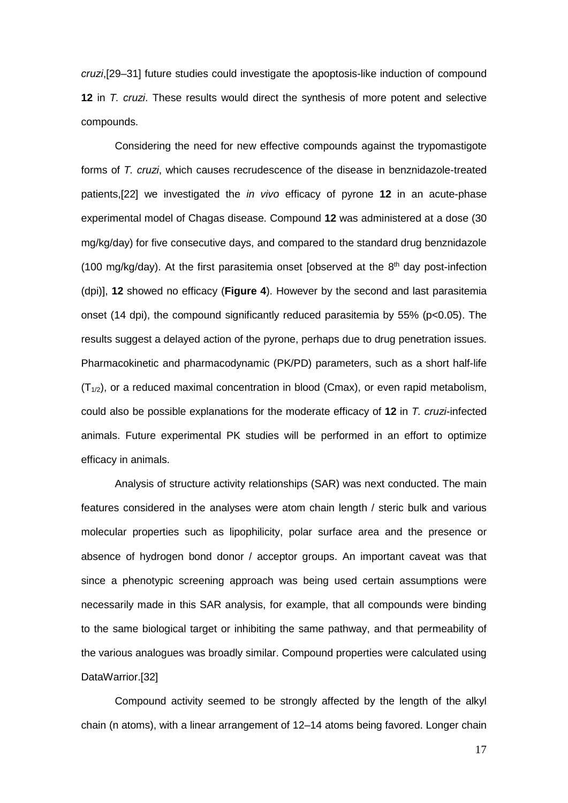*cruzi*,[29–31] future studies could investigate the apoptosis-like induction of compound **12** in *T. cruzi*. These results would direct the synthesis of more potent and selective compounds.

Considering the need for new effective compounds against the trypomastigote forms of *T. cruzi*, which causes recrudescence of the disease in benznidazole-treated patients,[22] we investigated the *in vivo* efficacy of pyrone **12** in an acute-phase experimental model of Chagas disease. Compound **12** was administered at a dose (30 mg/kg/day) for five consecutive days, and compared to the standard drug benznidazole (100 mg/kg/day). At the first parasitemia onset [observed at the  $8<sup>th</sup>$  day post-infection (dpi)], **12** showed no efficacy (**Figure 4**). However by the second and last parasitemia onset (14 dpi), the compound significantly reduced parasitemia by 55% (p<0.05). The results suggest a delayed action of the pyrone, perhaps due to drug penetration issues. Pharmacokinetic and pharmacodynamic (PK/PD) parameters, such as a short half-life  $(T_{1/2})$ , or a reduced maximal concentration in blood (Cmax), or even rapid metabolism, could also be possible explanations for the moderate efficacy of **12** in *T. cruzi*-infected animals. Future experimental PK studies will be performed in an effort to optimize efficacy in animals.

Analysis of structure activity relationships (SAR) was next conducted. The main features considered in the analyses were atom chain length / steric bulk and various molecular properties such as lipophilicity, polar surface area and the presence or absence of hydrogen bond donor / acceptor groups. An important caveat was that since a phenotypic screening approach was being used certain assumptions were necessarily made in this SAR analysis, for example, that all compounds were binding to the same biological target or inhibiting the same pathway, and that permeability of the various analogues was broadly similar. Compound properties were calculated using DataWarrior.[32]

Compound activity seemed to be strongly affected by the length of the alkyl chain (n atoms), with a linear arrangement of 12–14 atoms being favored. Longer chain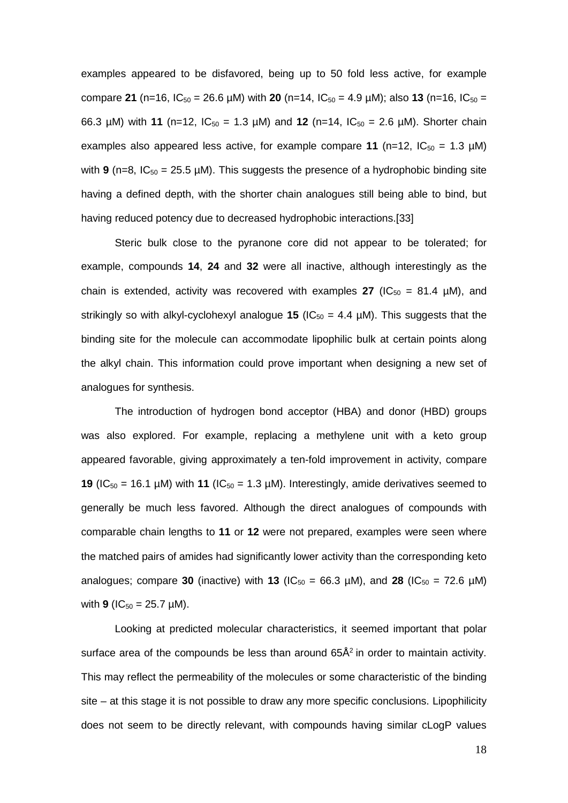examples appeared to be disfavored, being up to 50 fold less active, for example compare **21** (n=16,  $IC_{50} = 26.6 \mu M$ ) with **20** (n=14,  $IC_{50} = 4.9 \mu M$ ); also **13** (n=16,  $IC_{50} =$ 66.3  $\mu$ M) with **11** (n=12, IC<sub>50</sub> = 1.3  $\mu$ M) and **12** (n=14, IC<sub>50</sub> = 2.6  $\mu$ M). Shorter chain examples also appeared less active, for example compare 11 ( $n=12$ ,  $IC_{50} = 1.3 \mu M$ ) with **9** (n=8,  $IC_{50}$  = 25.5  $µM$ ). This suggests the presence of a hydrophobic binding site having a defined depth, with the shorter chain analogues still being able to bind, but having reduced potency due to decreased hydrophobic interactions.[33]

Steric bulk close to the pyranone core did not appear to be tolerated; for example, compounds **14**, **24** and **32** were all inactive, although interestingly as the chain is extended, activity was recovered with examples  $27$  (IC<sub>50</sub> = 81.4 µM), and strikingly so with alkyl-cyclohexyl analogue **15** ( $IC_{50} = 4.4 \mu M$ ). This suggests that the binding site for the molecule can accommodate lipophilic bulk at certain points along the alkyl chain. This information could prove important when designing a new set of analogues for synthesis.

The introduction of hydrogen bond acceptor (HBA) and donor (HBD) groups was also explored. For example, replacing a methylene unit with a keto group appeared favorable, giving approximately a ten-fold improvement in activity, compare **19** (IC<sub>50</sub> = 16.1 µM) with **11** (IC<sub>50</sub> = 1.3 µM). Interestingly, amide derivatives seemed to generally be much less favored. Although the direct analogues of compounds with comparable chain lengths to **11** or **12** were not prepared, examples were seen where the matched pairs of amides had significantly lower activity than the corresponding keto analogues; compare **30** (inactive) with **13** (IC<sub>50</sub> = 66.3  $\mu$ M), and **28** (IC<sub>50</sub> = 72.6  $\mu$ M) with **9** ( $IC_{50} = 25.7 \mu M$ ).

Looking at predicted molecular characteristics, it seemed important that polar surface area of the compounds be less than around  $65\text{\AA}^2$  in order to maintain activity. This may reflect the permeability of the molecules or some characteristic of the binding site – at this stage it is not possible to draw any more specific conclusions. Lipophilicity does not seem to be directly relevant, with compounds having similar cLogP values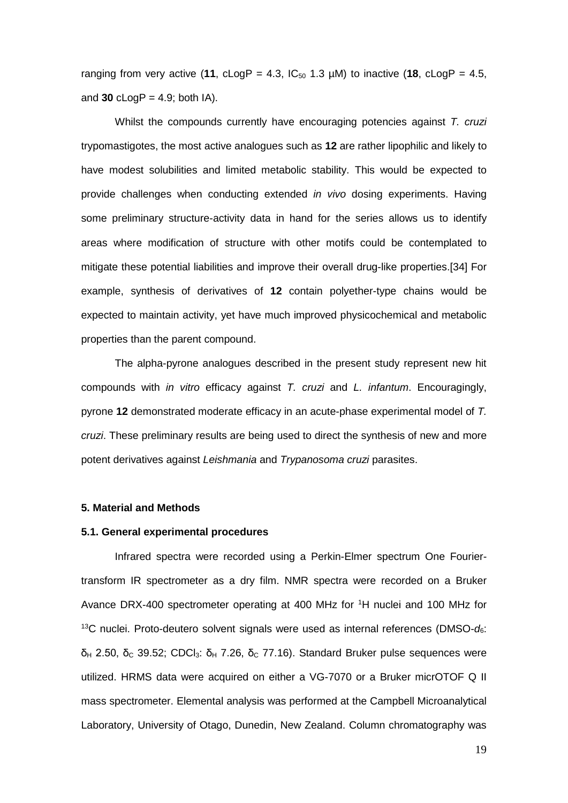ranging from very active (11, cLogP = 4.3,  $IC_{50}$  1.3  $µ$ M) to inactive (18, cLogP = 4.5, and  $30 \text{ cloqP} = 4.9$ ; both IA).

Whilst the compounds currently have encouraging potencies against *T. cruzi* trypomastigotes, the most active analogues such as **12** are rather lipophilic and likely to have modest solubilities and limited metabolic stability. This would be expected to provide challenges when conducting extended *in vivo* dosing experiments. Having some preliminary structure-activity data in hand for the series allows us to identify areas where modification of structure with other motifs could be contemplated to mitigate these potential liabilities and improve their overall drug-like properties.[34] For example, synthesis of derivatives of **12** contain polyether-type chains would be expected to maintain activity, yet have much improved physicochemical and metabolic properties than the parent compound.

The alpha-pyrone analogues described in the present study represent new hit compounds with *in vitro* efficacy against *T. cruzi* and *L. infantum*. Encouragingly, pyrone **12** demonstrated moderate efficacy in an acute-phase experimental model of *T. cruzi*. These preliminary results are being used to direct the synthesis of new and more potent derivatives against *Leishmania* and *Trypanosoma cruzi* parasites.

# **5. Material and Methods**

# **5.1. General experimental procedures**

Infrared spectra were recorded using a Perkin-Elmer spectrum One Fouriertransform IR spectrometer as a dry film. NMR spectra were recorded on a Bruker Avance DRX-400 spectrometer operating at 400 MHz for 1 H nuclei and 100 MHz for 13C nuclei. Proto-deutero solvent signals were used as internal references (DMSO-*d*6:  $\delta_H$  2.50, δ<sub>C</sub> 39.52; CDCl<sub>3</sub>: δ<sub>H</sub> 7.26, δ<sub>C</sub> 77.16). Standard Bruker pulse sequences were utilized. HRMS data were acquired on either a VG-7070 or a Bruker micrOTOF Q II mass spectrometer. Elemental analysis was performed at the Campbell Microanalytical Laboratory, University of Otago, Dunedin, New Zealand. Column chromatography was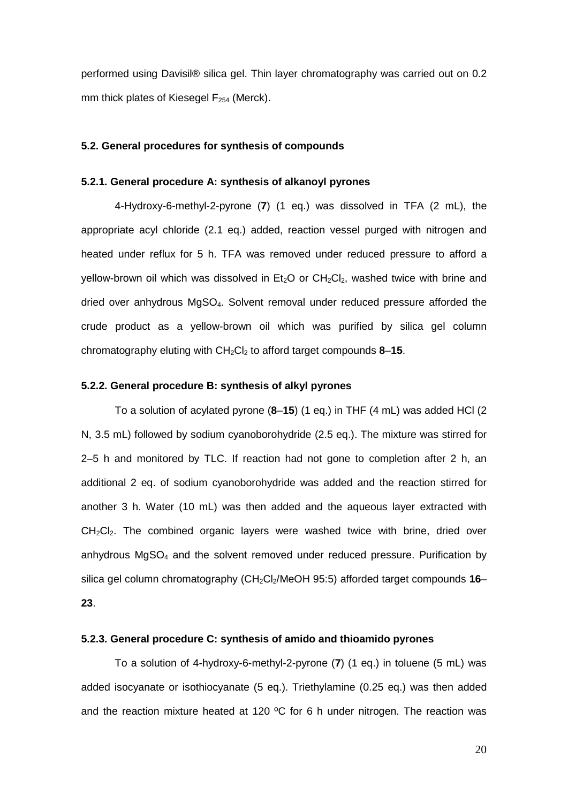performed using Davisil® silica gel. Thin layer chromatography was carried out on 0.2 mm thick plates of Kiesegel  $F_{254}$  (Merck).

# **5.2. General procedures for synthesis of compounds**

#### **5.2.1. General procedure A: synthesis of alkanoyl pyrones**

4-Hydroxy-6-methyl-2-pyrone (**7**) (1 eq.) was dissolved in TFA (2 mL), the appropriate acyl chloride (2.1 eq.) added, reaction vessel purged with nitrogen and heated under reflux for 5 h. TFA was removed under reduced pressure to afford a yellow-brown oil which was dissolved in  $Et_2O$  or  $CH_2Cl_2$ , washed twice with brine and dried over anhydrous MgSO4. Solvent removal under reduced pressure afforded the crude product as a yellow-brown oil which was purified by silica gel column chromatography eluting with CH<sub>2</sub>Cl<sub>2</sub> to afford target compounds 8–15.

# **5.2.2. General procedure B: synthesis of alkyl pyrones**

To a solution of acylated pyrone (**8**–**15**) (1 eq.) in THF (4 mL) was added HCl (2 N, 3.5 mL) followed by sodium cyanoborohydride (2.5 eq.). The mixture was stirred for 2–5 h and monitored by TLC. If reaction had not gone to completion after 2 h, an additional 2 eq. of sodium cyanoborohydride was added and the reaction stirred for another 3 h. Water (10 mL) was then added and the aqueous layer extracted with  $CH<sub>2</sub>Cl<sub>2</sub>$ . The combined organic layers were washed twice with brine, dried over anhydrous MgSO4 and the solvent removed under reduced pressure. Purification by silica gel column chromatography (CH<sub>2</sub>Cl<sub>2</sub>/MeOH 95:5) afforded target compounds 16– **23**.

# **5.2.3. General procedure C: synthesis of amido and thioamido pyrones**

To a solution of 4-hydroxy-6-methyl-2-pyrone (**7**) (1 eq.) in toluene (5 mL) was added isocyanate or isothiocyanate (5 eq.). Triethylamine (0.25 eq.) was then added and the reaction mixture heated at 120  $\degree$ C for 6 h under nitrogen. The reaction was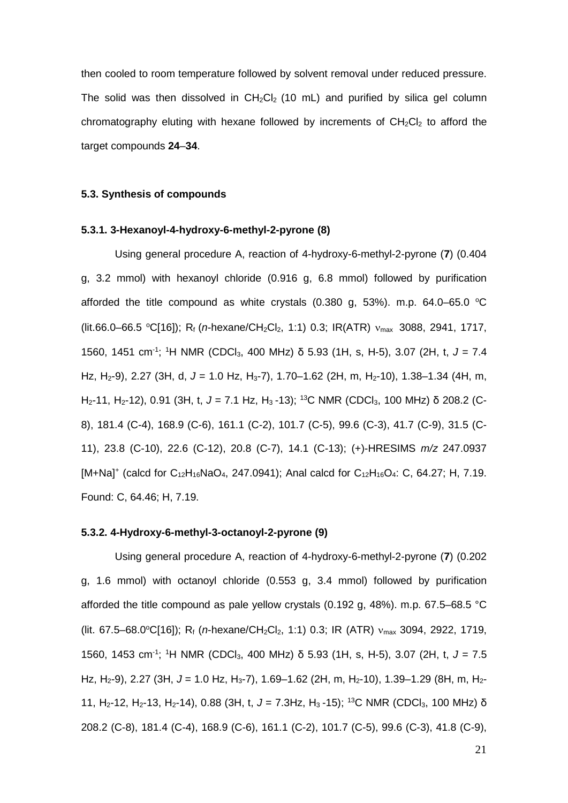then cooled to room temperature followed by solvent removal under reduced pressure. The solid was then dissolved in  $CH_2Cl_2$  (10 mL) and purified by silica gel column chromatography eluting with hexane followed by increments of  $CH<sub>2</sub>Cl<sub>2</sub>$  to afford the target compounds **24**–**34**.

# **5.3. Synthesis of compounds**

# **5.3.1. 3-Hexanoyl-4-hydroxy-6-methyl-2-pyrone (8)**

Using general procedure A, reaction of 4-hydroxy-6-methyl-2-pyrone (**7**) (0.404 g, 3.2 mmol) with hexanoyl chloride (0.916 g, 6.8 mmol) followed by purification afforded the title compound as white crystals (0.380 g, 53%). m.p. 64.0–65.0  $^{\circ}$ C (lit.66.0–66.5 °C[16]); R<sub>f</sub> (*n*-hexane/CH<sub>2</sub>Cl<sub>2</sub>, 1:1) 0.3; IR(ATR) ν<sub>max</sub> 3088, 2941, 1717, 1560, 1451 cm-1 ; 1 H NMR (CDCl3, 400 MHz) δ 5.93 (1H, s, H-5), 3.07 (2H, t, *J* = 7.4 Hz, H2-9), 2.27 (3H, d, *J* = 1.0 Hz, H3-7), 1.70–1.62 (2H, m, H2-10), 1.38–1.34 (4H, m, H2-11, H2-12), 0.91 (3H, t, *J* = 7.1 Hz, H3 -13); 13C NMR (CDCl3, 100 MHz) δ 208.2 (C-8), 181.4 (C-4), 168.9 (C-6), 161.1 (C-2), 101.7 (C-5), 99.6 (C-3), 41.7 (C-9), 31.5 (C-11), 23.8 (C-10), 22.6 (C-12), 20.8 (C-7), 14.1 (C-13); (+)-HRESIMS *m/z* 247.0937  $[M+Na]^+$  (calcd for  $C_{12}H_{16}NaO_4$ , 247.0941); Anal calcd for  $C_{12}H_{16}O_4$ : C, 64.27; H, 7.19. Found: C, 64.46; H, 7.19.

# **5.3.2. 4-Hydroxy-6-methyl-3-octanoyl-2-pyrone (9)**

Using general procedure A, reaction of 4-hydroxy-6-methyl-2-pyrone (**7**) (0.202 g, 1.6 mmol) with octanoyl chloride (0.553 g, 3.4 mmol) followed by purification afforded the title compound as pale yellow crystals (0.192 g, 48%). m.p. 67.5–68.5 °C (lit. 67.5–68.0°C[16]); R<sub>f</sub> (*n*-hexane/CH<sub>2</sub>Cl<sub>2</sub>, 1:1) 0.3; IR (ATR)  $v_{\text{max}}$  3094, 2922, 1719, 1560, 1453 cm-1 ; 1 H NMR (CDCl3, 400 MHz) δ 5.93 (1H, s, H-5), 3.07 (2H, t, *J* = 7.5 Hz, H<sub>2</sub>-9), 2.27 (3H, J = 1.0 Hz, H<sub>3</sub>-7), 1.69–1.62 (2H, m, H<sub>2</sub>-10), 1.39–1.29 (8H, m, H<sub>2</sub>-11, H<sub>2</sub>-12, H<sub>2</sub>-13, H<sub>2</sub>-14), 0.88 (3H, t, J = 7.3Hz, H<sub>3</sub>-15); <sup>13</sup>C NMR (CDCl<sub>3</sub>, 100 MHz) δ 208.2 (C-8), 181.4 (C-4), 168.9 (C-6), 161.1 (C-2), 101.7 (C-5), 99.6 (C-3), 41.8 (C-9),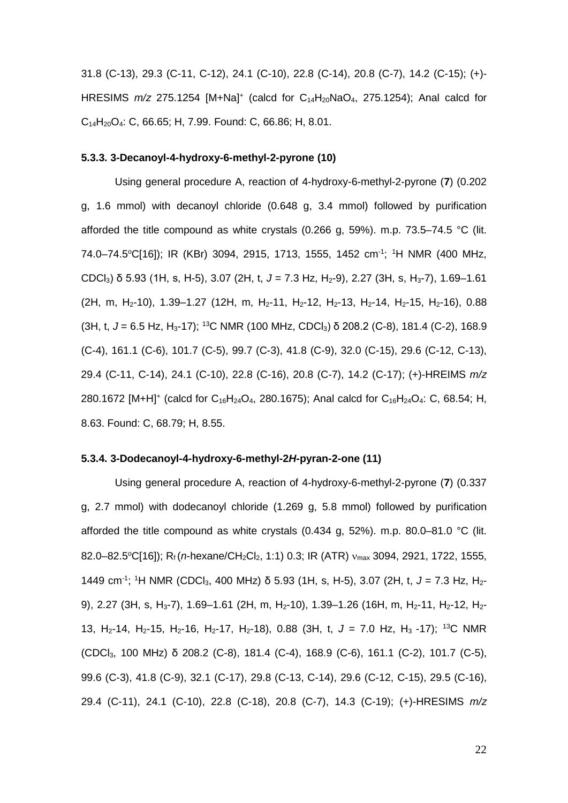31.8 (C-13), 29.3 (C-11, C-12), 24.1 (C-10), 22.8 (C-14), 20.8 (C-7), 14.2 (C-15); (+)- HRESIMS  $m/z$  275.1254 [M+Na]<sup>+</sup> (calcd for C<sub>14</sub>H<sub>20</sub>NaO<sub>4</sub>, 275.1254); Anal calcd for  $C_{14}H_{20}O_4$ : C, 66.65; H, 7.99. Found: C, 66.86; H, 8.01.

## **5.3.3. 3-Decanoyl-4-hydroxy-6-methyl-2-pyrone (10)**

Using general procedure A, reaction of 4-hydroxy-6-methyl-2-pyrone (**7**) (0.202 g, 1.6 mmol) with decanoyl chloride (0.648 g, 3.4 mmol) followed by purification afforded the title compound as white crystals (0.266 g, 59%). m.p. 73.5–74.5 °C (lit. 74.0–74.5°C[16]); IR (KBr) 3094, 2915, 1713, 1555, 1452 cm<sup>-1</sup>; <sup>1</sup>H NMR (400 MHz, CDCl<sub>3</sub>) δ 5.93 (1H, s, H-5), 3.07 (2H, t, J = 7.3 Hz, H<sub>2</sub>-9), 2.27 (3H, s, H<sub>3</sub>-7), 1.69–1.61  $(2H, m, H<sub>2</sub>-10), 1.39-1.27$  (12H, m, H<sub>2</sub>-11, H<sub>2</sub>-12, H<sub>2</sub>-13, H<sub>2</sub>-14, H<sub>2</sub>-15, H<sub>2</sub>-16), 0.88 (3H, t, *J* = 6.5 Hz, H3-17); 13C NMR (100 MHz, CDCl3) δ 208.2 (C-8), 181.4 (C-2), 168.9 (C-4), 161.1 (C-6), 101.7 (C-5), 99.7 (C-3), 41.8 (C-9), 32.0 (C-15), 29.6 (C-12, C-13), 29.4 (C-11, C-14), 24.1 (C-10), 22.8 (C-16), 20.8 (C-7), 14.2 (C-17); (+)-HREIMS *m/z* 280.1672  $[M+H]^+$  (calcd for  $C_{16}H_{24}O_4$ , 280.1675); Anal calcd for  $C_{16}H_{24}O_4$ : C, 68.54; H, 8.63. Found: C, 68.79; H, 8.55.

## **5.3.4. 3-Dodecanoyl-4-hydroxy-6-methyl-2***H***-pyran-2-one (11)**

Using general procedure A, reaction of 4-hydroxy-6-methyl-2-pyrone (**7**) (0.337 g, 2.7 mmol) with dodecanoyl chloride (1.269 g, 5.8 mmol) followed by purification afforded the title compound as white crystals (0.434 g, 52%). m.p. 80.0–81.0 °C (lit. 82.0–82.5°C[16]); R<sub>f</sub>(*n*-hexane/CH<sub>2</sub>Cl<sub>2</sub>, 1:1) 0.3; IR (ATR) v<sub>max</sub> 3094, 2921, 1722, 1555, 1449 cm-1 ; 1 H NMR (CDCl3, 400 MHz) δ 5.93 (1H, s, H-5), 3.07 (2H, t, *J* = 7.3 Hz, H2- 9), 2.27 (3H, s, H<sub>3</sub>-7), 1.69-1.61 (2H, m, H<sub>2</sub>-10), 1.39-1.26 (16H, m, H<sub>2</sub>-11, H<sub>2</sub>-12, H<sub>2</sub>-13, H2-14, H2-15, H2-16, H2-17, H2-18), 0.88 (3H, t, *J* = 7.0 Hz, H3 -17); 13C NMR (CDCl3, 100 MHz) δ 208.2 (C-8), 181.4 (C-4), 168.9 (C-6), 161.1 (C-2), 101.7 (C-5), 99.6 (C-3), 41.8 (C-9), 32.1 (C-17), 29.8 (C-13, C-14), 29.6 (C-12, C-15), 29.5 (C-16), 29.4 (C-11), 24.1 (C-10), 22.8 (C-18), 20.8 (C-7), 14.3 (C-19); (+)-HRESIMS *m/z*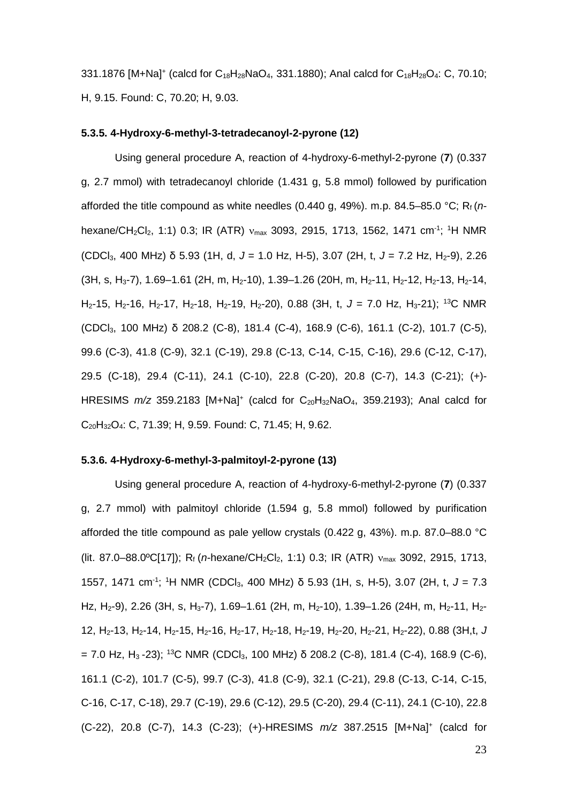331.1876 [M+Na]<sup>+</sup> (calcd for  $C_{18}H_{28}NaO_4$ , 331.1880); Anal calcd for  $C_{18}H_{28}O_4$ : C, 70.10; H, 9.15. Found: C, 70.20; H, 9.03.

# **5.3.5. 4-Hydroxy-6-methyl-3-tetradecanoyl-2-pyrone (12)**

Using general procedure A, reaction of 4-hydroxy-6-methyl-2-pyrone (**7**) (0.337 g, 2.7 mmol) with tetradecanoyl chloride (1.431 g, 5.8 mmol) followed by purification afforded the title compound as white needles (0.440 g, 49%). m.p. 84.5–85.0 °C; Rf (*n*hexane/CH<sub>2</sub>Cl<sub>2</sub>, 1:1) 0.3; IR (ATR) v<sub>max</sub> 3093, 2915, 1713, 1562, 1471 cm<sup>-1</sup>; <sup>1</sup>H NMR (CDCl3, 400 MHz) δ 5.93 (1H, d, *J* = 1.0 Hz, H-5), 3.07 (2H, t, *J* = 7.2 Hz, H2-9), 2.26  $(3H, s, H<sub>3</sub>-7), 1.69-1.61 (2H, m, H<sub>2</sub>-10), 1.39-1.26 (20H, m, H<sub>2</sub>-11, H<sub>2</sub>-12, H<sub>2</sub>-13, H<sub>2</sub>-14,$ H2-15, H2-16, H2-17, H2-18, H2-19, H2-20), 0.88 (3H, t, *J* = 7.0 Hz, H3-21); 13C NMR (CDCl3, 100 MHz) δ 208.2 (C-8), 181.4 (C-4), 168.9 (C-6), 161.1 (C-2), 101.7 (C-5), 99.6 (C-3), 41.8 (C-9), 32.1 (C-19), 29.8 (C-13, C-14, C-15, C-16), 29.6 (C-12, C-17), 29.5 (C-18), 29.4 (C-11), 24.1 (C-10), 22.8 (C-20), 20.8 (C-7), 14.3 (C-21); (+)- HRESIMS  $m/z$  359.2183 [M+Na]<sup>+</sup> (calcd for C<sub>20</sub>H<sub>32</sub>NaO<sub>4</sub>, 359.2193); Anal calcd for C20H32O4: C, 71.39; H, 9.59. Found: C, 71.45; H, 9.62.

#### **5.3.6. 4-Hydroxy-6-methyl-3-palmitoyl-2-pyrone (13)**

Using general procedure A, reaction of 4-hydroxy-6-methyl-2-pyrone (**7**) (0.337 g, 2.7 mmol) with palmitoyl chloride (1.594 g, 5.8 mmol) followed by purification afforded the title compound as pale yellow crystals (0.422 g, 43%). m.p. 87.0–88.0 °C (lit. 87.0–88.0°C[17]); R<sub>f</sub> (*n*-hexane/CH<sub>2</sub>Cl<sub>2</sub>, 1:1) 0.3; IR (ATR) ν<sub>max</sub> 3092, 2915, 1713, 1557, 1471 cm-1 ; 1 H NMR (CDCl3, 400 MHz) δ 5.93 (1H, s, H-5), 3.07 (2H, t, *J* = 7.3 Hz, H<sub>2</sub>-9), 2.26 (3H, s, H<sub>3</sub>-7), 1.69–1.61 (2H, m, H<sub>2</sub>-10), 1.39–1.26 (24H, m, H<sub>2</sub>-11, H<sub>2</sub>-12, H2-13, H2-14, H2-15, H2-16, H2-17, H2-18, H2-19, H2-20, H2-21, H2-22), 0.88 (3H,t, *J*   $= 7.0$  Hz, H<sub>3</sub> -23); <sup>13</sup>C NMR (CDCl<sub>3</sub>, 100 MHz) δ 208.2 (C-8), 181.4 (C-4), 168.9 (C-6), 161.1 (C-2), 101.7 (C-5), 99.7 (C-3), 41.8 (C-9), 32.1 (C-21), 29.8 (C-13, C-14, C-15, C-16, C-17, C-18), 29.7 (C-19), 29.6 (C-12), 29.5 (C-20), 29.4 (C-11), 24.1 (C-10), 22.8 (C-22), 20.8 (C-7), 14.3 (C-23); (+)-HRESIMS *m/z* 387.2515 [M+Na]+ (calcd for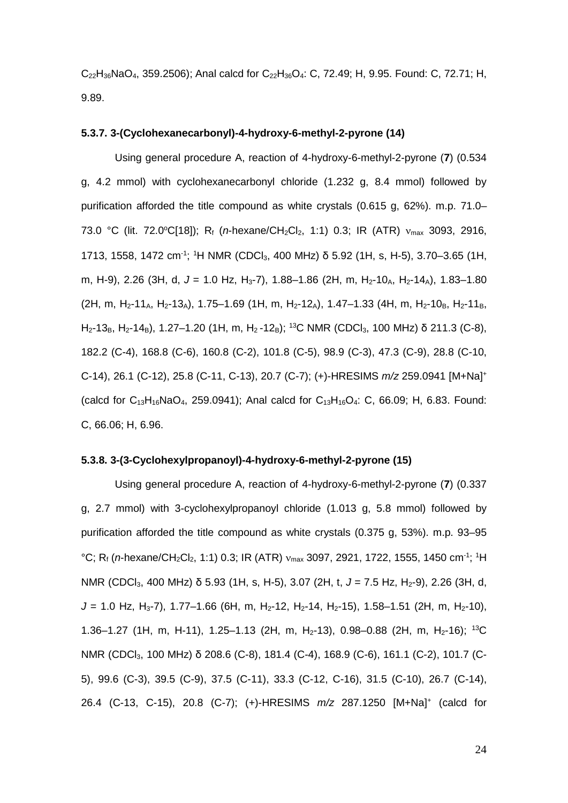$C_{22}H_{36}NaO_4$ , 359.2506); Anal calcd for  $C_{22}H_{36}O_4$ : C, 72.49; H, 9.95. Found: C, 72.71; H, 9.89.

# **5.3.7. 3-(Cyclohexanecarbonyl)-4-hydroxy-6-methyl-2-pyrone (14)**

Using general procedure A, reaction of 4-hydroxy-6-methyl-2-pyrone (**7**) (0.534 g, 4.2 mmol) with cyclohexanecarbonyl chloride (1.232 g, 8.4 mmol) followed by purification afforded the title compound as white crystals (0.615 g, 62%). m.p. 71.0– 73.0 °C (lit. 72.0°C[18]); R<sub>f</sub> (*n*-hexane/CH<sub>2</sub>Cl<sub>2</sub>, 1:1) 0.3; IR (ATR) ν<sub>max</sub> 3093, 2916, 1713, 1558, 1472 cm<sup>-1</sup>; <sup>1</sup>H NMR (CDCl<sub>3</sub>, 400 MHz) δ 5.92 (1H, s, H-5), 3.70–3.65 (1H, m, H-9), 2.26 (3H, d, J = 1.0 Hz, H<sub>3</sub>-7), 1.88–1.86 (2H, m, H<sub>2</sub>-10<sub>A</sub>, H<sub>2</sub>-14<sub>A</sub>), 1.83–1.80 (2H, m, H<sub>2</sub>-11<sub>A</sub>, H<sub>2</sub>-13<sub>A</sub>), 1.75–1.69 (1H, m, H<sub>2</sub>-12<sub>A</sub>), 1.47–1.33 (4H, m, H<sub>2</sub>-10<sub>B</sub>, H<sub>2</sub>-11<sub>B</sub>,  $H_2$ -13<sub>B</sub>, H<sub>2</sub>-14<sub>B</sub>), 1.27–1.20 (1H, m, H<sub>2</sub>-12<sub>B</sub>); <sup>13</sup>C NMR (CDCl<sub>3</sub>, 100 MHz) δ 211.3 (C-8), 182.2 (C-4), 168.8 (C-6), 160.8 (C-2), 101.8 (C-5), 98.9 (C-3), 47.3 (C-9), 28.8 (C-10, C-14), 26.1 (C-12), 25.8 (C-11, C-13), 20.7 (C-7); (+)-HRESIMS *m/z* 259.0941 [M+Na]+ (calcd for  $C_{13}H_{16}NaO_4$ , 259.0941); Anal calcd for  $C_{13}H_{16}O_4$ : C, 66.09; H, 6.83. Found: C, 66.06; H, 6.96.

#### **5.3.8. 3-(3-Cyclohexylpropanoyl)-4-hydroxy-6-methyl-2-pyrone (15)**

Using general procedure A, reaction of 4-hydroxy-6-methyl-2-pyrone (**7**) (0.337 g, 2.7 mmol) with 3-cyclohexylpropanoyl chloride (1.013 g, 5.8 mmol) followed by purification afforded the title compound as white crystals (0.375 g, 53%). m.p. 93–95 °C; R<sub>f</sub> (*n*-hexane/CH<sub>2</sub>Cl<sub>2</sub>, 1:1) 0.3; IR (ATR) v<sub>max</sub> 3097, 2921, 1722, 1555, 1450 cm<sup>-1</sup>; <sup>1</sup>H NMR (CDCl<sub>3</sub>, 400 MHz) δ 5.93 (1H, s, H-5), 3.07 (2H, t, J = 7.5 Hz, H<sub>2</sub>-9), 2.26 (3H, d,  $J = 1.0$  Hz, H<sub>3</sub>-7), 1.77–1.66 (6H, m, H<sub>2</sub>-12, H<sub>2</sub>-14, H<sub>2</sub>-15), 1.58–1.51 (2H, m, H<sub>2</sub>-10), 1.36–1.27 (1H, m, H-11), 1.25–1.13 (2H, m, H<sub>2</sub>-13), 0.98–0.88 (2H, m, H<sub>2</sub>-16); <sup>13</sup>C NMR (CDCl3, 100 MHz) δ 208.6 (C-8), 181.4 (C-4), 168.9 (C-6), 161.1 (C-2), 101.7 (C-5), 99.6 (C-3), 39.5 (C-9), 37.5 (C-11), 33.3 (C-12, C-16), 31.5 (C-10), 26.7 (C-14), 26.4 (C-13, C-15), 20.8 (C-7); (+)-HRESIMS *m/z* 287.1250 [M+Na]+ (calcd for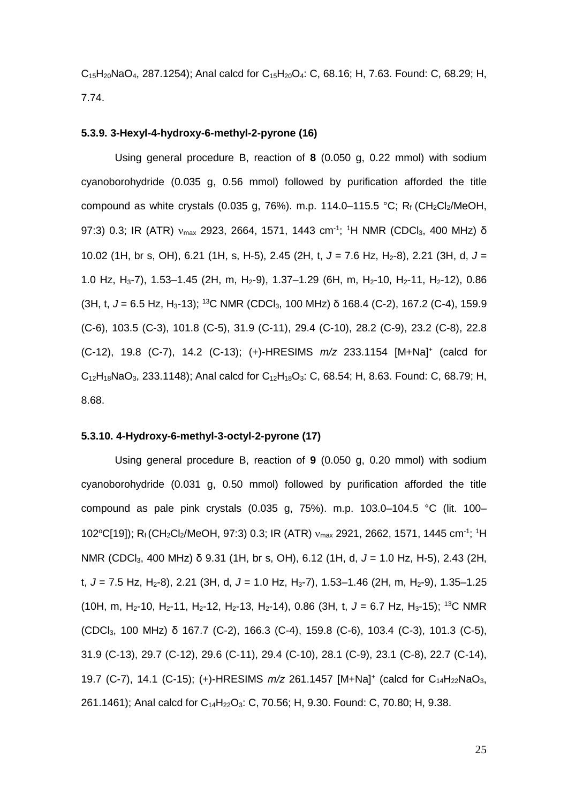$C_{15}H_{20}$ NaO<sub>4</sub>, 287.1254); Anal calcd for  $C_{15}H_{20}O_4$ : C, 68.16; H, 7.63. Found: C, 68.29; H, 7.74.

# **5.3.9. 3-Hexyl-4-hydroxy-6-methyl-2-pyrone (16)**

Using general procedure B, reaction of **8** (0.050 g, 0.22 mmol) with sodium cyanoborohydride (0.035 g, 0.56 mmol) followed by purification afforded the title compound as white crystals (0.035 g, 76%). m.p. 114.0–115.5 °C; R<sub>f</sub> (CH<sub>2</sub>Cl<sub>2</sub>/MeOH, 97:3) 0.3; IR (ATR) ν<sub>max</sub> 2923, 2664, 1571, 1443 cm<sup>-1</sup>; <sup>1</sup>H NMR (CDCl<sub>3</sub>, 400 MHz) δ 10.02 (1H, br s, OH), 6.21 (1H, s, H-5), 2.45 (2H, t, *J* = 7.6 Hz, H2-8), 2.21 (3H, d, *J* = 1.0 Hz, H<sub>3</sub>-7), 1.53–1.45 (2H, m, H<sub>2</sub>-9), 1.37–1.29 (6H, m, H<sub>2</sub>-10, H<sub>2</sub>-11, H<sub>2</sub>-12), 0.86 (3H, t, J = 6.5 Hz, H<sub>3</sub>-13); <sup>13</sup>C NMR (CDCl<sub>3</sub>, 100 MHz) δ 168.4 (C-2), 167.2 (C-4), 159.9 (C-6), 103.5 (C-3), 101.8 (C-5), 31.9 (C-11), 29.4 (C-10), 28.2 (C-9), 23.2 (C-8), 22.8 (C-12), 19.8 (C-7), 14.2 (C-13); (+)-HRESIMS *m/z* 233.1154 [M+Na]+ (calcd for  $C_{12}H_{18}NaO_3$ , 233.1148); Anal calcd for  $C_{12}H_{18}O_3$ : C, 68.54; H, 8.63. Found: C, 68.79; H, 8.68.

# **5.3.10. 4-Hydroxy-6-methyl-3-octyl-2-pyrone (17)**

Using general procedure B, reaction of **9** (0.050 g, 0.20 mmol) with sodium cyanoborohydride (0.031 g, 0.50 mmol) followed by purification afforded the title compound as pale pink crystals (0.035 g, 75%). m.p. 103.0–104.5 °C (lit. 100– 102°C[19]); R<sub>f</sub> (CH<sub>2</sub>Cl<sub>2</sub>/MeOH, 97:3) 0.3; IR (ATR) v<sub>max</sub> 2921, 2662, 1571, 1445 cm<sup>-1</sup>; <sup>1</sup>H NMR (CDCl3, 400 MHz) δ 9.31 (1H, br s, OH), 6.12 (1H, d, *J* = 1.0 Hz, H-5), 2.43 (2H, t,  $J = 7.5$  Hz, H<sub>2</sub>-8), 2.21 (3H, d,  $J = 1.0$  Hz, H<sub>3</sub>-7), 1.53–1.46 (2H, m, H<sub>2</sub>-9), 1.35–1.25 (10H, m, H2-10, H2-11, H2-12, H2-13, H2-14), 0.86 (3H, t, *J* = 6.7 Hz, H3-15); 13C NMR (CDCl3, 100 MHz) δ 167.7 (C-2), 166.3 (C-4), 159.8 (C-6), 103.4 (C-3), 101.3 (C-5), 31.9 (C-13), 29.7 (C-12), 29.6 (C-11), 29.4 (C-10), 28.1 (C-9), 23.1 (C-8), 22.7 (C-14), 19.7 (C-7), 14.1 (C-15); (+)-HRESIMS  $m/z$  261.1457 [M+Na]<sup>+</sup> (calcd for C<sub>14</sub>H<sub>22</sub>NaO<sub>3</sub>, 261.1461); Anal calcd for  $C_{14}H_{22}O_3$ : C, 70.56; H, 9.30. Found: C, 70.80; H, 9.38.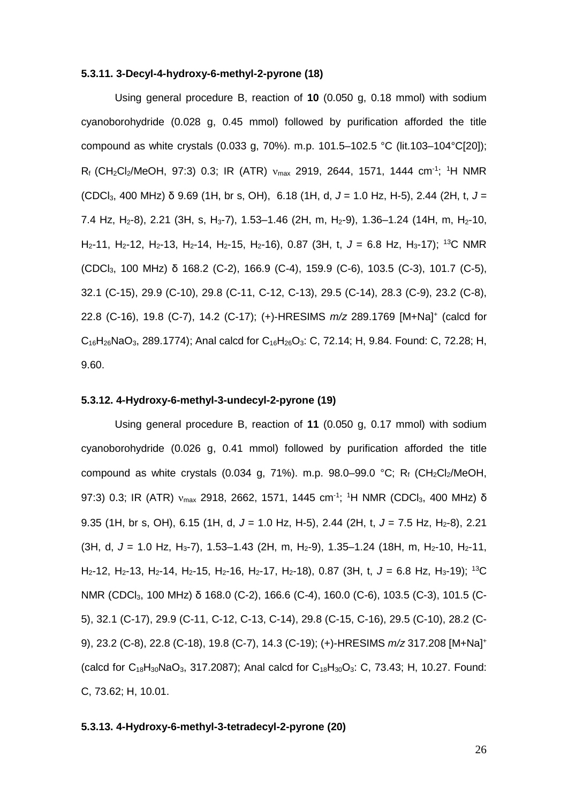## **5.3.11. 3-Decyl-4-hydroxy-6-methyl-2-pyrone (18)**

Using general procedure B, reaction of **10** (0.050 g, 0.18 mmol) with sodium cyanoborohydride (0.028 g, 0.45 mmol) followed by purification afforded the title compound as white crystals (0.033 g, 70%). m.p. 101.5–102.5 °C (lit.103–104°C[20]);  $R_f$  (CH<sub>2</sub>Cl<sub>2</sub>/MeOH, 97:3) 0.3; IR (ATR)  $v_{\text{max}}$  2919, 2644, 1571, 1444 cm<sup>-1</sup>; <sup>1</sup>H NMR (CDCl3, 400 MHz) δ 9.69 (1H, br s, OH), 6.18 (1H, d, *J* = 1.0 Hz, H-5), 2.44 (2H, t, *J* = 7.4 Hz, H<sub>2</sub>-8), 2.21 (3H, s, H<sub>3</sub>-7), 1.53–1.46 (2H, m, H<sub>2</sub>-9), 1.36–1.24 (14H, m, H<sub>2</sub>-10, H2-11, H2-12, H2-13, H2-14, H2-15, H2-16), 0.87 (3H, t, *J* = 6.8 Hz, H3-17); 13C NMR (CDCl3, 100 MHz) δ 168.2 (C-2), 166.9 (C-4), 159.9 (C-6), 103.5 (C-3), 101.7 (C-5), 32.1 (C-15), 29.9 (C-10), 29.8 (C-11, C-12, C-13), 29.5 (C-14), 28.3 (C-9), 23.2 (C-8), 22.8 (C-16), 19.8 (C-7), 14.2 (C-17); (+)-HRESIMS *m/z* 289.1769 [M+Na]+ (calcd for  $C_{16}H_{26}NaO_3$ , 289.1774); Anal calcd for  $C_{16}H_{26}O_3$ : C, 72.14; H, 9.84. Found: C, 72.28; H, 9.60.

## **5.3.12. 4-Hydroxy-6-methyl-3-undecyl-2-pyrone (19)**

Using general procedure B, reaction of **11** (0.050 g, 0.17 mmol) with sodium cyanoborohydride (0.026 g, 0.41 mmol) followed by purification afforded the title compound as white crystals (0.034 g, 71%). m.p.  $98.0-99.0$  °C; R<sub>f</sub> (CH<sub>2</sub>Cl<sub>2</sub>/MeOH, 97:3) 0.3; IR (ATR) v<sub>max</sub> 2918, 2662, 1571, 1445 cm<sup>-1</sup>; <sup>1</sup>H NMR (CDCl<sub>3</sub>, 400 MHz) δ 9.35 (1H, br s, OH), 6.15 (1H, d, J = 1.0 Hz, H-5), 2.44 (2H, t, J = 7.5 Hz, H<sub>2</sub>-8), 2.21 (3H, d, J = 1.0 Hz, H<sub>3</sub>-7), 1.53-1.43 (2H, m, H<sub>2</sub>-9), 1.35-1.24 (18H, m, H<sub>2</sub>-10, H<sub>2</sub>-11, H<sub>2</sub>-12, H<sub>2</sub>-13, H<sub>2</sub>-14, H<sub>2</sub>-15, H<sub>2</sub>-16, H<sub>2</sub>-17, H<sub>2</sub>-18), 0.87 (3H, t, J = 6.8 Hz, H<sub>3</sub>-19); <sup>13</sup>C NMR (CDCl3, 100 MHz) δ 168.0 (C-2), 166.6 (C-4), 160.0 (C-6), 103.5 (C-3), 101.5 (C-5), 32.1 (C-17), 29.9 (C-11, C-12, C-13, C-14), 29.8 (C-15, C-16), 29.5 (C-10), 28.2 (C-9), 23.2 (C-8), 22.8 (C-18), 19.8 (C-7), 14.3 (C-19); (+)-HRESIMS *m/z* 317.208 [M+Na]+ (calcd for  $C_{18}H_{30}NaO_3$ , 317.2087); Anal calcd for  $C_{18}H_{30}O_3$ : C, 73.43; H, 10.27. Found: C, 73.62; H, 10.01.

#### **5.3.13. 4-Hydroxy-6-methyl-3-tetradecyl-2-pyrone (20)**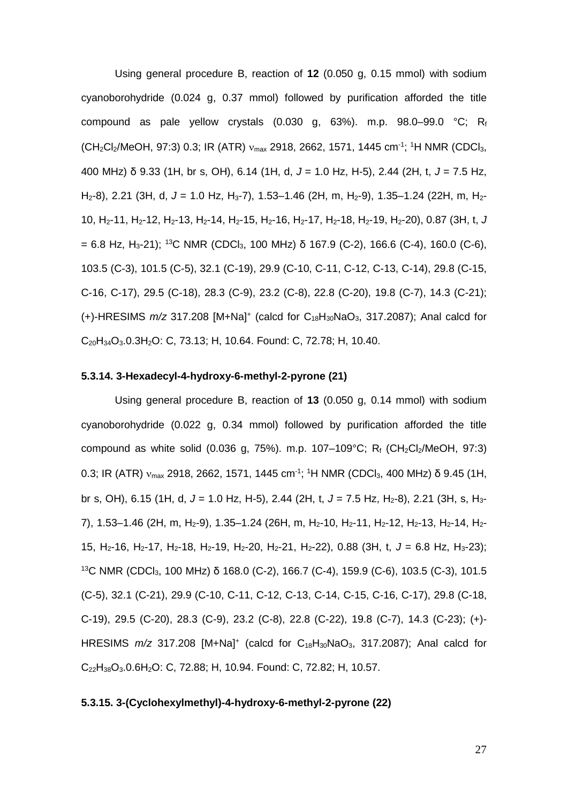Using general procedure B, reaction of **12** (0.050 g, 0.15 mmol) with sodium cyanoborohydride (0.024 g, 0.37 mmol) followed by purification afforded the title compound as pale yellow crystals (0.030 g, 63%). m.p.  $98.0-99.0$  °C; Rf  $(CH_2Cl_2/MeOH, 97:3)$  0.3; IR (ATR)  $v_{max}$  2918, 2662, 1571, 1445 cm<sup>-1</sup>; <sup>1</sup>H NMR (CDCl<sub>3</sub>, 400 MHz) δ 9.33 (1H, br s, OH), 6.14 (1H, d, *J* = 1.0 Hz, H-5), 2.44 (2H, t, *J* = 7.5 Hz, H<sub>2</sub>-8), 2.21 (3H, d, J = 1.0 Hz, H<sub>3</sub>-7), 1.53–1.46 (2H, m, H<sub>2</sub>-9), 1.35–1.24 (22H, m, H<sub>2</sub>-10, H2-11, H2-12, H2-13, H2-14, H2-15, H2-16, H2-17, H2-18, H2-19, H2-20), 0.87 (3H, t, *J* = 6.8 Hz, H<sub>3</sub>-21); <sup>13</sup>C NMR (CDCl<sub>3</sub>, 100 MHz) δ 167.9 (C-2), 166.6 (C-4), 160.0 (C-6), 103.5 (C-3), 101.5 (C-5), 32.1 (C-19), 29.9 (C-10, C-11, C-12, C-13, C-14), 29.8 (C-15, C-16, C-17), 29.5 (C-18), 28.3 (C-9), 23.2 (C-8), 22.8 (C-20), 19.8 (C-7), 14.3 (C-21); (+)-HRESIMS *m/z* 317.208 [M+Na]+ (calcd for C18H30NaO3, 317.2087); Anal calcd for C20H34O3.0.3H2O: C, 73.13; H, 10.64. Found: C, 72.78; H, 10.40.

#### **5.3.14. 3-Hexadecyl-4-hydroxy-6-methyl-2-pyrone (21)**

Using general procedure B, reaction of **13** (0.050 g, 0.14 mmol) with sodium cyanoborohydride (0.022 g, 0.34 mmol) followed by purification afforded the title compound as white solid (0.036 g, 75%). m.p. 107-109°C;  $R_f$  (CH<sub>2</sub>Cl<sub>2</sub>/MeOH, 97:3) 0.3; IR (ATR)  $v_{\text{max}}$  2918, 2662, 1571, 1445 cm<sup>-1</sup>; <sup>1</sup>H NMR (CDCl<sub>3</sub>, 400 MHz) δ 9.45 (1H, br s, OH), 6.15 (1H, d, J = 1.0 Hz, H-5), 2.44 (2H, t, J = 7.5 Hz, H<sub>2</sub>-8), 2.21 (3H, s, H<sub>3</sub>-7), 1.53-1.46 (2H, m, H<sub>2</sub>-9), 1.35-1.24 (26H, m, H<sub>2</sub>-10, H<sub>2</sub>-11, H<sub>2</sub>-12, H<sub>2</sub>-13, H<sub>2</sub>-14, H<sub>2</sub>-15, H<sub>2</sub>-16, H<sub>2</sub>-17, H<sub>2</sub>-18, H<sub>2</sub>-19, H<sub>2</sub>-20, H<sub>2</sub>-21, H<sub>2</sub>-22), 0.88 (3H, t, J = 6.8 Hz, H<sub>3</sub>-23); 13C NMR (CDCl3, 100 MHz) δ 168.0 (C-2), 166.7 (C-4), 159.9 (C-6), 103.5 (C-3), 101.5 (C-5), 32.1 (C-21), 29.9 (C-10, C-11, C-12, C-13, C-14, C-15, C-16, C-17), 29.8 (C-18, C-19), 29.5 (C-20), 28.3 (C-9), 23.2 (C-8), 22.8 (C-22), 19.8 (C-7), 14.3 (C-23); (+)- HRESIMS *m/z* 317.208 [M+Na]+ (calcd for C18H30NaO3, 317.2087); Anal calcd for C<sub>22</sub>H<sub>38</sub>O<sub>3</sub>.0.6H<sub>2</sub>O: C, 72.88; H, 10.94. Found: C, 72.82; H, 10.57.

# **5.3.15. 3-(Cyclohexylmethyl)-4-hydroxy-6-methyl-2-pyrone (22)**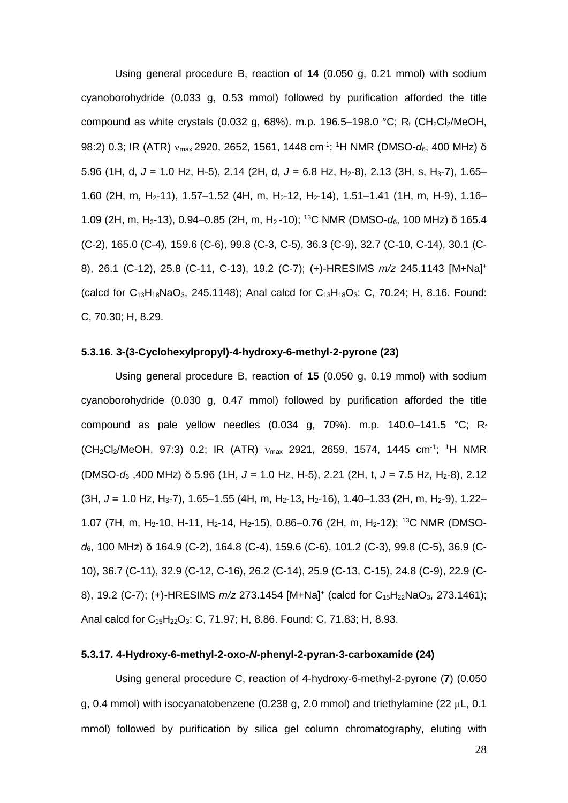Using general procedure B, reaction of **14** (0.050 g, 0.21 mmol) with sodium cyanoborohydride (0.033 g, 0.53 mmol) followed by purification afforded the title compound as white crystals (0.032 g, 68%). m.p. 196.5-198.0 °C; R<sub>f</sub> (CH<sub>2</sub>Cl<sub>2</sub>/MeOH, 98:2) 0.3; IR (ATR) νmax 2920, 2652, 1561, 1448 cm-1 ; 1 H NMR (DMSO-*d*6, 400 MHz) δ 5.96 (1H, d, J = 1.0 Hz, H-5), 2.14 (2H, d, J = 6.8 Hz, H<sub>2</sub>-8), 2.13 (3H, s, H<sub>3</sub>-7), 1.65– 1.60 (2H, m, H<sub>2</sub>-11), 1.57-1.52 (4H, m, H<sub>2</sub>-12, H<sub>2</sub>-14), 1.51-1.41 (1H, m, H-9), 1.16-1.09 (2H, m, H2-13), 0.94–0.85 (2H, m, H2 -10); 13C NMR (DMSO-*d*6, 100 MHz) δ 165.4 (C-2), 165.0 (C-4), 159.6 (C-6), 99.8 (C-3, C-5), 36.3 (C-9), 32.7 (C-10, C-14), 30.1 (C-8), 26.1 (C-12), 25.8 (C-11, C-13), 19.2 (C-7); (+)-HRESIMS *m/z* 245.1143 [M+Na]+ (calcd for  $C_{13}H_{18}NaO_3$ , 245.1148); Anal calcd for  $C_{13}H_{18}O_3$ : C, 70.24; H, 8.16. Found: C, 70.30; H, 8.29.

# **5.3.16. 3-(3-Cyclohexylpropyl)-4-hydroxy-6-methyl-2-pyrone (23)**

Using general procedure B, reaction of **15** (0.050 g, 0.19 mmol) with sodium cyanoborohydride (0.030 g, 0.47 mmol) followed by purification afforded the title compound as pale yellow needles (0.034 g, 70%). m.p. 140.0-141.5 °C; Rf  $(CH_2Cl_2/MeOH$ , 97:3) 0.2; IR (ATR)  $v_{max}$  2921, 2659, 1574, 1445 cm<sup>-1</sup>; <sup>1</sup>H NMR (DMSO-*d*<sup>6</sup> ,400 MHz) δ 5.96 (1H, *J* = 1.0 Hz, H-5), 2.21 (2H, t, *J* = 7.5 Hz, H2-8), 2.12 (3H, *J* = 1.0 Hz, H3-7), 1.65–1.55 (4H, m, H2-13, H2-16), 1.40–1.33 (2H, m, H2-9), 1.22– 1.07 (7H, m, H<sub>2</sub>-10, H-11, H<sub>2</sub>-14, H<sub>2</sub>-15), 0.86-0.76 (2H, m, H<sub>2</sub>-12); <sup>13</sup>C NMR (DMSO*d*6, 100 MHz) δ 164.9 (C-2), 164.8 (C-4), 159.6 (C-6), 101.2 (C-3), 99.8 (C-5), 36.9 (C-10), 36.7 (C-11), 32.9 (C-12, C-16), 26.2 (C-14), 25.9 (C-13, C-15), 24.8 (C-9), 22.9 (C-8), 19.2 (C-7); (+)-HRESIMS  $m/z$  273.1454 [M+Na]<sup>+</sup> (calcd for C<sub>15</sub>H<sub>22</sub>NaO<sub>3</sub>, 273.1461); Anal calcd for  $C_{15}H_{22}O_3$ : C, 71.97; H, 8.86. Found: C, 71.83; H, 8.93.

# **5.3.17. 4-Hydroxy-6-methyl-2-oxo-***N***-phenyl-2-pyran-3-carboxamide (24)**

Using general procedure C, reaction of 4-hydroxy-6-methyl-2-pyrone (**7**) (0.050 g, 0.4 mmol) with isocyanatobenzene (0.238 g, 2.0 mmol) and triethylamine (22  $\mu$ L, 0.1 mmol) followed by purification by silica gel column chromatography, eluting with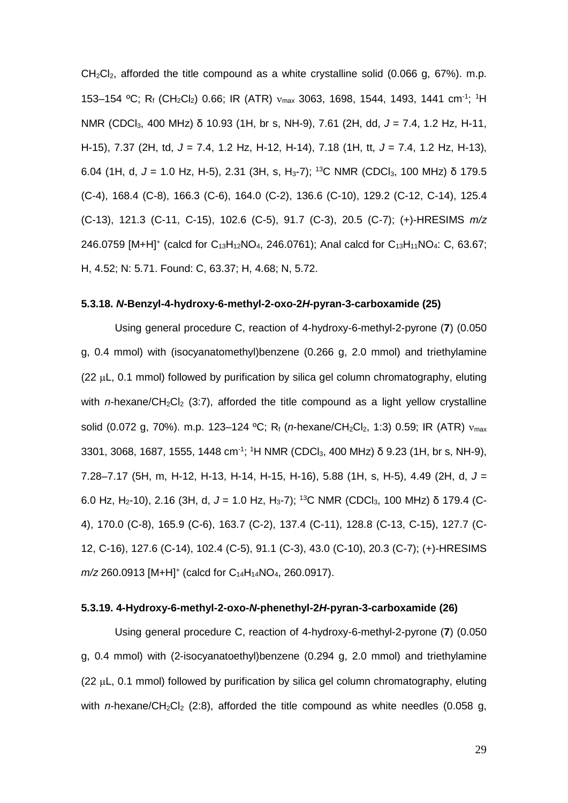$CH_2Cl_2$ , afforded the title compound as a white crystalline solid (0.066 g, 67%). m.p. 153-154 °C; R<sub>f</sub> (CH<sub>2</sub>Cl<sub>2</sub>) 0.66; IR (ATR) v<sub>max</sub> 3063, 1698, 1544, 1493, 1441 cm<sup>-1</sup>; <sup>1</sup>H NMR (CDCl3, 400 MHz) δ 10.93 (1H, br s, NH-9), 7.61 (2H, dd, *J* = 7.4, 1.2 Hz, H-11, H-15), 7.37 (2H, td, *J* = 7.4, 1.2 Hz, H-12, H-14), 7.18 (1H, tt, *J* = 7.4, 1.2 Hz, H-13), 6.04 (1H, d, *J* = 1.0 Hz, H-5), 2.31 (3H, s, H3-7); 13C NMR (CDCl3, 100 MHz) δ 179.5 (C-4), 168.4 (C-8), 166.3 (C-6), 164.0 (C-2), 136.6 (C-10), 129.2 (C-12, C-14), 125.4 (C-13), 121.3 (C-11, C-15), 102.6 (C-5), 91.7 (C-3), 20.5 (C-7); (+)-HRESIMS *m/z* 246.0759 [M+H]<sup>+</sup> (calcd for C<sub>13</sub>H<sub>12</sub>NO<sub>4</sub>, 246.0761); Anal calcd for C<sub>13</sub>H<sub>11</sub>NO<sub>4</sub>: C, 63.67; H, 4.52; N: 5.71. Found: C, 63.37; H, 4.68; N, 5.72.

## **5.3.18.** *N***-Benzyl-4-hydroxy-6-methyl-2-oxo-2***H***-pyran-3-carboxamide (25)**

Using general procedure C, reaction of 4-hydroxy-6-methyl-2-pyrone (**7**) (0.050 g, 0.4 mmol) with (isocyanatomethyl)benzene (0.266 g, 2.0 mmol) and triethylamine  $(22 \mu L, 0.1 \text{ mmol})$  followed by purification by silica gel column chromatography, eluting with *n*-hexane/CH<sub>2</sub>Cl<sub>2</sub> (3:7), afforded the title compound as a light yellow crystalline solid (0.072 g, 70%). m.p. 123–124 °C; R<sub>f</sub> (*n*-hexane/CH<sub>2</sub>Cl<sub>2</sub>, 1:3) 0.59; IR (ATR) ν<sub>max</sub> 3301, 3068, 1687, 1555, 1448 cm<sup>-1</sup>; <sup>1</sup>H NMR (CDCl<sub>3</sub>, 400 MHz) δ 9.23 (1H, br s, NH-9), 7.28–7.17 (5H, m, H-12, H-13, H-14, H-15, H-16), 5.88 (1H, s, H-5), 4.49 (2H, d, *J* = 6.0 Hz, H<sub>2</sub>-10), 2.16 (3H, d,  $J = 1.0$  Hz, H<sub>3</sub>-7); <sup>13</sup>C NMR (CDCl<sub>3</sub>, 100 MHz) δ 179.4 (C-4), 170.0 (C-8), 165.9 (C-6), 163.7 (C-2), 137.4 (C-11), 128.8 (C-13, C-15), 127.7 (C-12, C-16), 127.6 (C-14), 102.4 (C-5), 91.1 (C-3), 43.0 (C-10), 20.3 (C-7); (+)-HRESIMS *m/z* 260.0913 [M+H]<sup>+</sup> (calcd for C<sub>14</sub>H<sub>14</sub>NO<sub>4</sub>, 260.0917).

## **5.3.19. 4-Hydroxy-6-methyl-2-oxo-***N***-phenethyl-2***H***-pyran-3-carboxamide (26)**

Using general procedure C, reaction of 4-hydroxy-6-methyl-2-pyrone (**7**) (0.050 g, 0.4 mmol) with (2-isocyanatoethyl)benzene (0.294 g, 2.0 mmol) and triethylamine (22 µL, 0.1 mmol) followed by purification by silica gel column chromatography, eluting with *n*-hexane/CH<sub>2</sub>Cl<sub>2</sub> (2:8), afforded the title compound as white needles (0.058 g,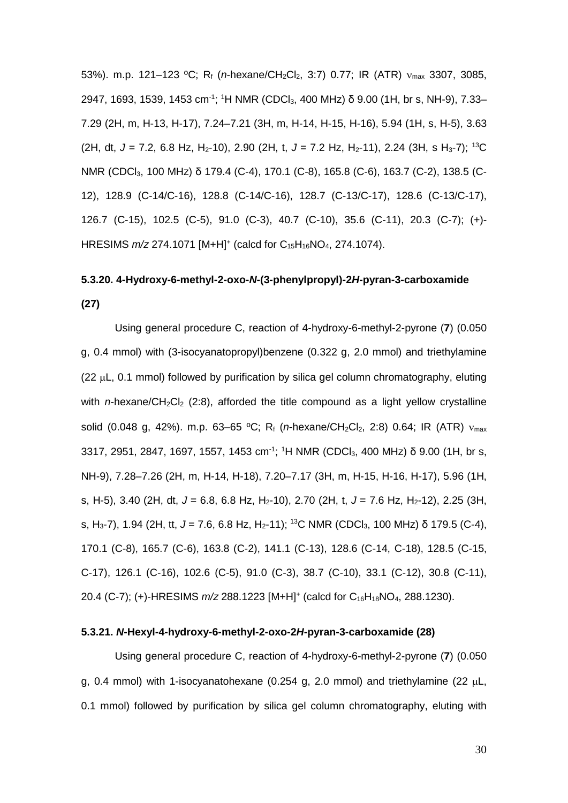53%). m.p. 121–123 ºC; Rf (*n*-hexane/CH2Cl2, 3:7) 0.77; IR (ATR) νmax 3307, 3085, 2947, 1693, 1539, 1453 cm<sup>-1</sup>; <sup>1</sup>H NMR (CDCl<sub>3</sub>, 400 MHz) δ 9.00 (1H, br s, NH-9), 7.33– 7.29 (2H, m, H-13, H-17), 7.24–7.21 (3H, m, H-14, H-15, H-16), 5.94 (1H, s, H-5), 3.63 (2H, dt, J = 7.2, 6.8 Hz, H<sub>2</sub>-10), 2.90 (2H, t, J = 7.2 Hz, H<sub>2</sub>-11), 2.24 (3H, s H<sub>3</sub>-7); <sup>13</sup>C NMR (CDCl3, 100 MHz) δ 179.4 (C-4), 170.1 (C-8), 165.8 (C-6), 163.7 (C-2), 138.5 (C-12), 128.9 (C-14/C-16), 128.8 (C-14/C-16), 128.7 (C-13/C-17), 128.6 (C-13/C-17), 126.7 (C-15), 102.5 (C-5), 91.0 (C-3), 40.7 (C-10), 35.6 (C-11), 20.3 (C-7); (+)- HRESIMS  $m/z$  274.1071 [M+H]<sup>+</sup> (calcd for C<sub>15</sub>H<sub>16</sub>NO<sub>4</sub>, 274.1074).

# **5.3.20. 4-Hydroxy-6-methyl-2-oxo-***N***-(3-phenylpropyl)-2***H***-pyran-3-carboxamide (27)**

Using general procedure C, reaction of 4-hydroxy-6-methyl-2-pyrone (**7**) (0.050 g, 0.4 mmol) with (3-isocyanatopropyl)benzene (0.322 g, 2.0 mmol) and triethylamine  $(22 \mu L, 0.1 \text{ mmol})$  followed by purification by silica gel column chromatography, eluting with *n*-hexane/CH<sub>2</sub>Cl<sub>2</sub> (2:8), afforded the title compound as a light yellow crystalline solid (0.048 g, 42%). m.p. 63–65 °C; R<sub>f</sub> (*n*-hexane/CH<sub>2</sub>Cl<sub>2</sub>, 2:8) 0.64; IR (ATR) ν<sub>max</sub> 3317, 2951, 2847, 1697, 1557, 1453 cm<sup>-1</sup>; <sup>1</sup>H NMR (CDCl<sub>3</sub>, 400 MHz) δ 9.00 (1H, br s, NH-9), 7.28–7.26 (2H, m, H-14, H-18), 7.20–7.17 (3H, m, H-15, H-16, H-17), 5.96 (1H, s, H-5), 3.40 (2H, dt, J = 6.8, 6.8 Hz, H<sub>2</sub>-10), 2.70 (2H, t, J = 7.6 Hz, H<sub>2</sub>-12), 2.25 (3H, s, H<sub>3</sub>-7), 1.94 (2H, tt, J = 7.6, 6.8 Hz, H<sub>2</sub>-11); <sup>13</sup>C NMR (CDCl<sub>3</sub>, 100 MHz) δ 179.5 (C-4), 170.1 (C-8), 165.7 (C-6), 163.8 (C-2), 141.1 (C-13), 128.6 (C-14, C-18), 128.5 (C-15, C-17), 126.1 (C-16), 102.6 (C-5), 91.0 (C-3), 38.7 (C-10), 33.1 (C-12), 30.8 (C-11), 20.4 (C-7); (+)-HRESIMS *m/z* 288.1223 [M+H]+ (calcd for C16H18NO4, 288.1230).

# **5.3.21.** *N***-Hexyl-4-hydroxy-6-methyl-2-oxo-2***H***-pyran-3-carboxamide (28)**

Using general procedure C, reaction of 4-hydroxy-6-methyl-2-pyrone (**7**) (0.050 g, 0.4 mmol) with 1-isocyanatohexane (0.254 g, 2.0 mmol) and triethylamine (22  $\mu$ L, 0.1 mmol) followed by purification by silica gel column chromatography, eluting with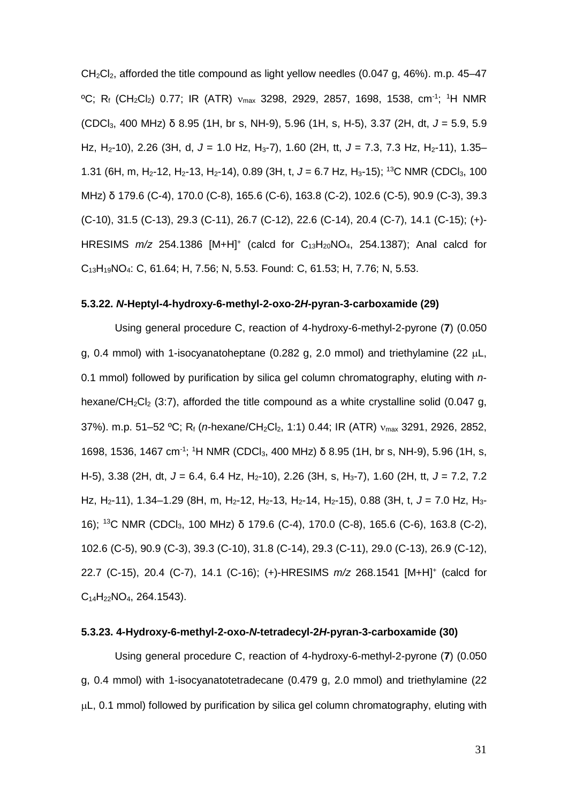$CH<sub>2</sub>Cl<sub>2</sub>$ , afforded the title compound as light yellow needles (0.047 g, 46%). m.p. 45–47 °C; R<sub>f</sub> (CH<sub>2</sub>Cl<sub>2</sub>) 0.77; IR (ATR) v<sub>max</sub> 3298, 2929, 2857, 1698, 1538, cm<sup>-1</sup>; <sup>1</sup>H NMR (CDCl3, 400 MHz) δ 8.95 (1H, br s, NH-9), 5.96 (1H, s, H-5), 3.37 (2H, dt, *J* = 5.9, 5.9 Hz, H<sub>2</sub>-10), 2.26 (3H, d, J = 1.0 Hz, H<sub>3</sub>-7), 1.60 (2H, tt, J = 7.3, 7.3 Hz, H<sub>2</sub>-11), 1.35– 1.31 (6H, m, H<sub>2</sub>-12, H<sub>2</sub>-13, H<sub>2</sub>-14), 0.89 (3H, t, J = 6.7 Hz, H<sub>3</sub>-15); <sup>13</sup>C NMR (CDCl<sub>3</sub>, 100 MHz) δ 179.6 (C-4), 170.0 (C-8), 165.6 (C-6), 163.8 (C-2), 102.6 (C-5), 90.9 (C-3), 39.3 (C-10), 31.5 (C-13), 29.3 (C-11), 26.7 (C-12), 22.6 (C-14), 20.4 (C-7), 14.1 (C-15); (+)- HRESIMS  $m/z$  254.1386 [M+H]<sup>+</sup> (calcd for C<sub>13</sub>H<sub>20</sub>NO<sub>4</sub>, 254.1387); Anal calcd for C13H19NO4: C, 61.64; H, 7.56; N, 5.53. Found: C, 61.53; H, 7.76; N, 5.53.

#### **5.3.22.** *N***-Heptyl-4-hydroxy-6-methyl-2-oxo-2***H***-pyran-3-carboxamide (29)**

Using general procedure C, reaction of 4-hydroxy-6-methyl-2-pyrone (**7**) (0.050 g, 0.4 mmol) with 1-isocyanatoheptane (0.282 g, 2.0 mmol) and triethylamine (22  $\mu$ L, 0.1 mmol) followed by purification by silica gel column chromatography, eluting with *n*hexane/CH<sub>2</sub>Cl<sub>2</sub> (3:7), afforded the title compound as a white crystalline solid (0.047 g, 37%). m.p. 51–52 °C; R<sub>f</sub> (*n*-hexane/CH<sub>2</sub>Cl<sub>2</sub>, 1:1) 0.44; IR (ATR) ν<sub>max</sub> 3291, 2926, 2852, 1698, 1536, 1467 cm<sup>-1</sup>; <sup>1</sup>H NMR (CDCl<sub>3</sub>, 400 MHz) δ 8.95 (1H, br s, NH-9), 5.96 (1H, s, H-5), 3.38 (2H, dt, *J* = 6.4, 6.4 Hz, H2-10), 2.26 (3H, s, H3-7), 1.60 (2H, tt, *J* = 7.2, 7.2 Hz, H<sub>2</sub>-11), 1.34–1.29 (8H, m, H<sub>2</sub>-12, H<sub>2</sub>-13, H<sub>2</sub>-14, H<sub>2</sub>-15), 0.88 (3H, t, J = 7.0 Hz, H<sub>3</sub>-16); 13C NMR (CDCl3, 100 MHz) δ 179.6 (C-4), 170.0 (C-8), 165.6 (C-6), 163.8 (C-2), 102.6 (C-5), 90.9 (C-3), 39.3 (C-10), 31.8 (C-14), 29.3 (C-11), 29.0 (C-13), 26.9 (C-12), 22.7 (C-15), 20.4 (C-7), 14.1 (C-16); (+)-HRESIMS *m/z* 268.1541 [M+H]+ (calcd for  $C_{14}H_{22}NO_4$ , 264.1543).

# **5.3.23. 4-Hydroxy-6-methyl-2-oxo-***N***-tetradecyl-2***H***-pyran-3-carboxamide (30)**

Using general procedure C, reaction of 4-hydroxy-6-methyl-2-pyrone (**7**) (0.050 g, 0.4 mmol) with 1-isocyanatotetradecane (0.479 g, 2.0 mmol) and triethylamine (22 µL, 0.1 mmol) followed by purification by silica gel column chromatography, eluting with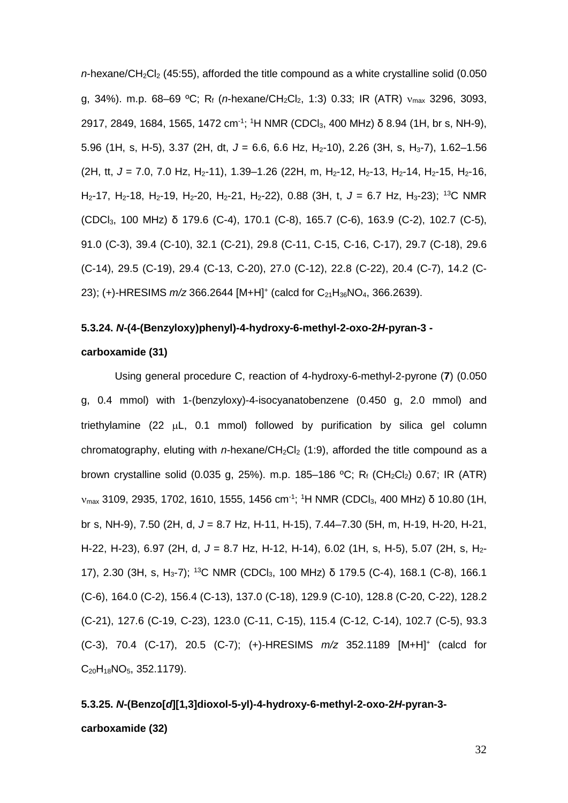$n$ -hexane/CH<sub>2</sub>Cl<sub>2</sub> (45:55), afforded the title compound as a white crystalline solid (0.050 g, 34%). m.p. 68–69 °C; R<sub>f</sub> (*n*-hexane/CH<sub>2</sub>Cl<sub>2</sub>, 1:3) 0.33; IR (ATR) ν<sub>max</sub> 3296, 3093, 2917, 2849, 1684, 1565, 1472 cm<sup>-1</sup>; <sup>1</sup>H NMR (CDCl<sub>3</sub>, 400 MHz) δ 8.94 (1H, br s, NH-9), 5.96 (1H, s, H-5), 3.37 (2H, dt, *J* = 6.6, 6.6 Hz, H2-10), 2.26 (3H, s, H3-7), 1.62–1.56 (2H, tt, J = 7.0, 7.0 Hz, H<sub>2</sub>-11), 1.39–1.26 (22H, m, H<sub>2</sub>-12, H<sub>2</sub>-13, H<sub>2</sub>-14, H<sub>2</sub>-15, H<sub>2</sub>-16, H2-17, H2-18, H2-19, H2-20, H2-21, H2-22), 0.88 (3H, t, *J* = 6.7 Hz, H3-23); 13C NMR (CDCl3, 100 MHz) δ 179.6 (C-4), 170.1 (C-8), 165.7 (C-6), 163.9 (C-2), 102.7 (C-5), 91.0 (C-3), 39.4 (C-10), 32.1 (C-21), 29.8 (C-11, C-15, C-16, C-17), 29.7 (C-18), 29.6 (C-14), 29.5 (C-19), 29.4 (C-13, C-20), 27.0 (C-12), 22.8 (C-22), 20.4 (C-7), 14.2 (C-23); (+)-HRESIMS *m*/z 366.2644 [M+H]<sup>+</sup> (calcd for C<sub>21</sub>H<sub>36</sub>NO<sub>4</sub>, 366.2639).

#### **5.3.24.** *N***-(4-(Benzyloxy)phenyl)-4-hydroxy-6-methyl-2-oxo-2***H***-pyran-3 -**

# **carboxamide (31)**

Using general procedure C, reaction of 4-hydroxy-6-methyl-2-pyrone (**7**) (0.050 g, 0.4 mmol) with 1-(benzyloxy)-4-isocyanatobenzene (0.450 g, 2.0 mmol) and triethylamine  $(22 \mu L, 0.1 \text{ mmol})$  followed by purification by silica gel column chromatography, eluting with *n*-hexane/CH<sub>2</sub>Cl<sub>2</sub> (1:9), afforded the title compound as a brown crystalline solid (0.035 g, 25%). m.p. 185–186 °C; R<sub>f</sub> (CH<sub>2</sub>Cl<sub>2</sub>) 0.67; IR (ATR)  $v_{\text{max}}$  3109, 2935, 1702, 1610, 1555, 1456 cm<sup>-1</sup>; <sup>1</sup>H NMR (CDCl<sub>3</sub>, 400 MHz) δ 10.80 (1H, br s, NH-9), 7.50 (2H, d, *J* = 8.7 Hz, H-11, H-15), 7.44–7.30 (5H, m, H-19, H-20, H-21, H-22, H-23), 6.97 (2H, d, *J* = 8.7 Hz, H-12, H-14), 6.02 (1H, s, H-5), 5.07 (2H, s, H2- 17), 2.30 (3H, s, H3-7); 13C NMR (CDCl3, 100 MHz) δ 179.5 (C-4), 168.1 (C-8), 166.1 (C-6), 164.0 (C-2), 156.4 (C-13), 137.0 (C-18), 129.9 (C-10), 128.8 (C-20, C-22), 128.2 (C-21), 127.6 (C-19, C-23), 123.0 (C-11, C-15), 115.4 (C-12, C-14), 102.7 (C-5), 93.3 (C-3), 70.4 (C-17), 20.5 (C-7); (+)-HRESIMS *m/z* 352.1189 [M+H]+ (calcd for  $C_{20}H_{18}NO_5$ , 352.1179).

# **5.3.25.** *N***-(Benzo[***d***][1,3]dioxol-5-yl)-4-hydroxy-6-methyl-2-oxo-2***H***-pyran-3 carboxamide (32)**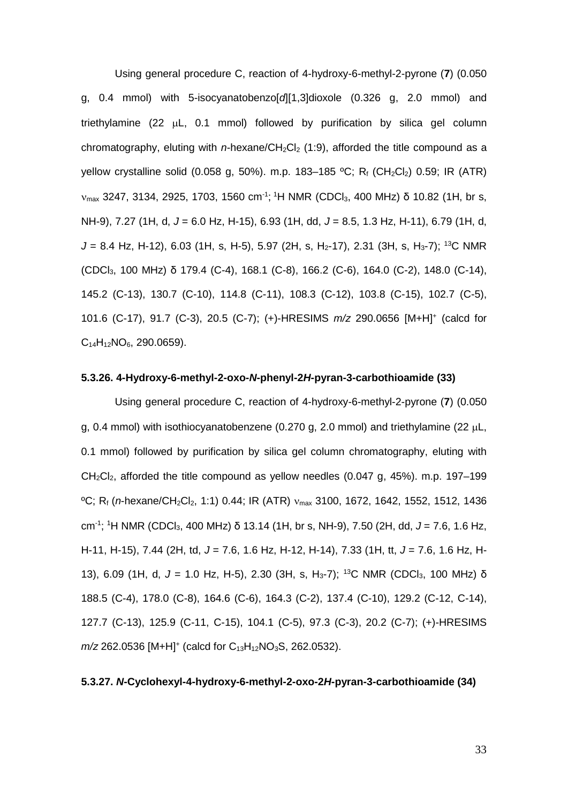Using general procedure C, reaction of 4-hydroxy-6-methyl-2-pyrone (**7**) (0.050 g, 0.4 mmol) with 5-isocyanatobenzo[*d*][1,3]dioxole (0.326 g, 2.0 mmol) and triethylamine (22 µL, 0.1 mmol) followed by purification by silica gel column chromatography, eluting with *n*-hexane/CH2Cl2 (1:9), afforded the title compound as a yellow crystalline solid (0.058 g, 50%). m.p. 183-185 °C; Rf (CH<sub>2</sub>Cl<sub>2</sub>) 0.59; IR (ATR)  $v_{\text{max}}$  3247, 3134, 2925, 1703, 1560 cm<sup>-1</sup>; <sup>1</sup>H NMR (CDCl<sub>3</sub>, 400 MHz) δ 10.82 (1H, br s, NH-9), 7.27 (1H, d, *J* = 6.0 Hz, H-15), 6.93 (1H, dd, *J* = 8.5, 1.3 Hz, H-11), 6.79 (1H, d,  $J = 8.4$  Hz, H-12), 6.03 (1H, s, H-5), 5.97 (2H, s, H<sub>2</sub>-17), 2.31 (3H, s, H<sub>3</sub>-7); <sup>13</sup>C NMR (CDCl3, 100 MHz) δ 179.4 (C-4), 168.1 (C-8), 166.2 (C-6), 164.0 (C-2), 148.0 (C-14), 145.2 (C-13), 130.7 (C-10), 114.8 (C-11), 108.3 (C-12), 103.8 (C-15), 102.7 (C-5), 101.6 (C-17), 91.7 (C-3), 20.5 (C-7); (+)-HRESIMS *m/z* 290.0656 [M+H]+ (calcd for  $C_{14}H_{12}NO_6$ , 290.0659).

#### **5.3.26. 4-Hydroxy-6-methyl-2-oxo-***N***-phenyl-2***H***-pyran-3-carbothioamide (33)**

Using general procedure C, reaction of 4-hydroxy-6-methyl-2-pyrone (**7**) (0.050 g, 0.4 mmol) with isothiocyanatobenzene (0.270 g, 2.0 mmol) and triethylamine (22  $\mu$ L, 0.1 mmol) followed by purification by silica gel column chromatography, eluting with  $CH<sub>2</sub>Cl<sub>2</sub>$ , afforded the title compound as yellow needles (0.047 g, 45%). m.p. 197–199 <sup>o</sup>C; R<sub>f</sub> (*n*-hexane/CH<sub>2</sub>Cl<sub>2</sub>, 1:1) 0.44; IR (ATR) ν<sub>max</sub> 3100, 1672, 1642, 1552, 1512, 1436 cm-1 ; 1 H NMR (CDCl3, 400 MHz) δ 13.14 (1H, br s, NH-9), 7.50 (2H, dd, *J* = 7.6, 1.6 Hz, H-11, H-15), 7.44 (2H, td, *J* = 7.6, 1.6 Hz, H-12, H-14), 7.33 (1H, tt, *J* = 7.6, 1.6 Hz, H-13), 6.09 (1H, d, J = 1.0 Hz, H-5), 2.30 (3H, s, H<sub>3</sub>-7); <sup>13</sup>C NMR (CDCl<sub>3</sub>, 100 MHz) δ 188.5 (C-4), 178.0 (C-8), 164.6 (C-6), 164.3 (C-2), 137.4 (C-10), 129.2 (C-12, C-14), 127.7 (C-13), 125.9 (C-11, C-15), 104.1 (C-5), 97.3 (C-3), 20.2 (C-7); (+)-HRESIMS *m/z* 262.0536 [M+H]<sup>+</sup> (calcd for C<sub>13</sub>H<sub>12</sub>NO<sub>3</sub>S, 262.0532).

# **5.3.27.** *N***-Cyclohexyl-4-hydroxy-6-methyl-2-oxo-2***H***-pyran-3-carbothioamide (34)**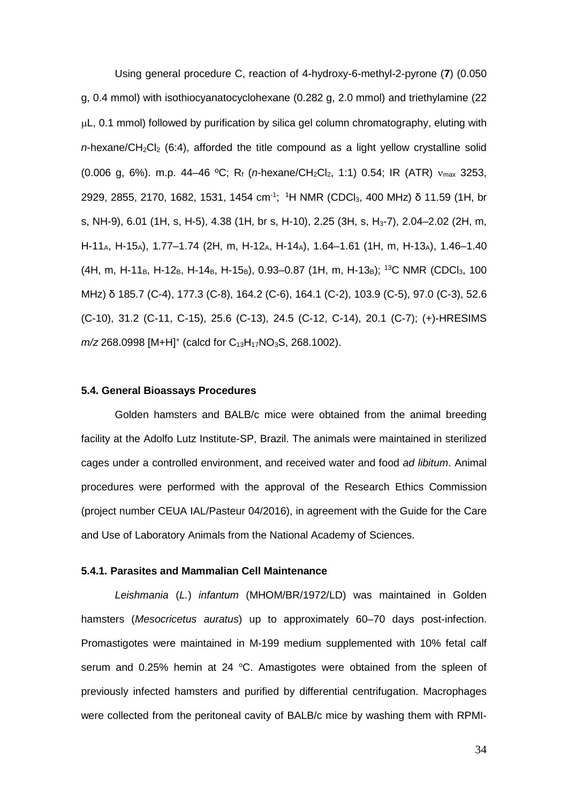Using general procedure C, reaction of 4-hydroxy-6-methyl-2-pyrone (**7**) (0.050 g, 0.4 mmol) with isothiocyanatocyclohexane (0.282 g, 2.0 mmol) and triethylamine (22 µL, 0.1 mmol) followed by purification by silica gel column chromatography, eluting with  $n$ -hexane/CH<sub>2</sub>Cl<sub>2</sub> (6:4), afforded the title compound as a light yellow crystalline solid (0.006 g, 6%). m.p. 44–46 °C; R<sub>f</sub> (*n*-hexane/CH<sub>2</sub>Cl<sub>2</sub>, 1:1) 0.54; IR (ATR) ν<sub>max</sub> 3253, 2929, 2855, 2170, 1682, 1531, 1454 cm<sup>-1</sup>; <sup>1</sup>H NMR (CDCl<sub>3</sub>, 400 MHz) δ 11.59 (1H, br s, NH-9), 6.01 (1H, s, H-5), 4.38 (1H, br s, H-10), 2.25 (3H, s, H<sub>3</sub>-7), 2.04–2.02 (2H, m, H-11<sub>A</sub>, H-15<sub>A</sub>), 1.77–1.74 (2H, m, H-12<sub>A</sub>, H-14<sub>A</sub>), 1.64–1.61 (1H, m, H-13<sub>A</sub>), 1.46–1.40 (4H, m, H-11<sub>B</sub>, H-12<sub>B</sub>, H-14<sub>B</sub>, H-15<sub>B</sub>), 0.93–0.87 (1H, m, H-13<sub>B</sub>); <sup>13</sup>C NMR (CDCl<sub>3</sub>, 100 MHz) δ 185.7 (C-4), 177.3 (C-8), 164.2 (C-6), 164.1 (C-2), 103.9 (C-5), 97.0 (C-3), 52.6 (C-10), 31.2 (C-11, C-15), 25.6 (C-13), 24.5 (C-12, C-14), 20.1 (C-7); (+)-HRESIMS *m/z* 268.0998 [M+H]<sup>+</sup> (calcd for C<sub>13</sub>H<sub>17</sub>NO<sub>3</sub>S, 268.1002).

#### **5.4. General Bioassays Procedures**

Golden hamsters and BALB/c mice were obtained from the animal breeding facility at the Adolfo Lutz Institute-SP, Brazil. The animals were maintained in sterilized cages under a controlled environment, and received water and food *ad libitum*. Animal procedures were performed with the approval of the Research Ethics Commission (project number CEUA IAL/Pasteur 04/2016), in agreement with the Guide for the Care and Use of Laboratory Animals from the National Academy of Sciences.

## **5.4.1. Parasites and Mammalian Cell Maintenance**

*Leishmania* (*L.*) *infantum* (MHOM/BR/1972/LD) was maintained in Golden hamsters (*Mesocricetus auratus*) up to approximately 60–70 days post-infection. Promastigotes were maintained in M-199 medium supplemented with 10% fetal calf serum and  $0.25\%$  hemin at 24 °C. Amastigotes were obtained from the spleen of previously infected hamsters and purified by differential centrifugation. Macrophages were collected from the peritoneal cavity of BALB/c mice by washing them with RPMI-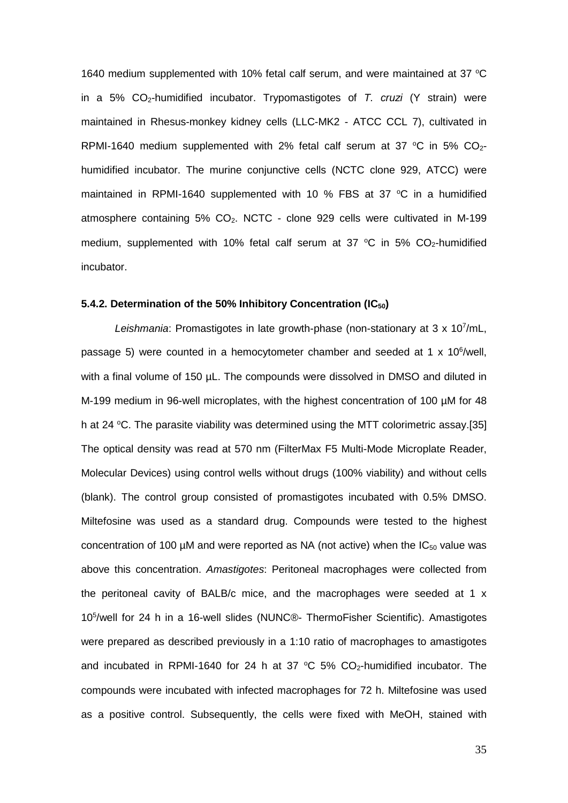1640 medium supplemented with 10% fetal calf serum, and were maintained at 37  $\degree$ C in a 5% CO<sub>2</sub>-humidified incubator. Trypomastigotes of *T. cruzi* (Y strain) were maintained in Rhesus-monkey kidney cells (LLC-MK2 - ATCC CCL 7), cultivated in RPMI-1640 medium supplemented with 2% fetal calf serum at 37  $\degree$ C in 5% CO<sub>2</sub>humidified incubator. The murine conjunctive cells (NCTC clone 929, ATCC) were maintained in RPMI-1640 supplemented with 10 % FBS at 37  $\degree$ C in a humidified atmosphere containing  $5\%$  CO<sub>2</sub>. NCTC - clone  $929$  cells were cultivated in M-199 medium, supplemented with 10% fetal calf serum at 37  $^{\circ}$ C in 5% CO<sub>2</sub>-humidified incubator.

## **5.4.2. Determination of the 50% Inhibitory Concentration (IC50)**

Leishmania: Promastigotes in late growth-phase (non-stationary at 3 x 107/mL, passage 5) were counted in a hemocytometer chamber and seeded at 1 x 10<sup>6</sup>/well, with a final volume of 150 µL. The compounds were dissolved in DMSO and diluted in M-199 medium in 96-well microplates, with the highest concentration of 100 µM for 48 h at 24 °C. The parasite viability was determined using the MTT colorimetric assay.[35] The optical density was read at 570 nm (FilterMax F5 Multi-Mode Microplate Reader, Molecular Devices) using control wells without drugs (100% viability) and without cells (blank). The control group consisted of promastigotes incubated with 0.5% DMSO. Miltefosine was used as a standard drug. Compounds were tested to the highest concentration of 100  $\mu$ M and were reported as NA (not active) when the IC<sub>50</sub> value was above this concentration. *Amastigotes*: Peritoneal macrophages were collected from the peritoneal cavity of BALB/c mice, and the macrophages were seeded at 1 x 105 /well for 24 h in a 16-well slides (NUNC®- ThermoFisher Scientific). Amastigotes were prepared as described previously in a 1:10 ratio of macrophages to amastigotes and incubated in RPMI-1640 for 24 h at 37  $\degree$ C 5% CO<sub>2</sub>-humidified incubator. The compounds were incubated with infected macrophages for 72 h. Miltefosine was used as a positive control. Subsequently, the cells were fixed with MeOH, stained with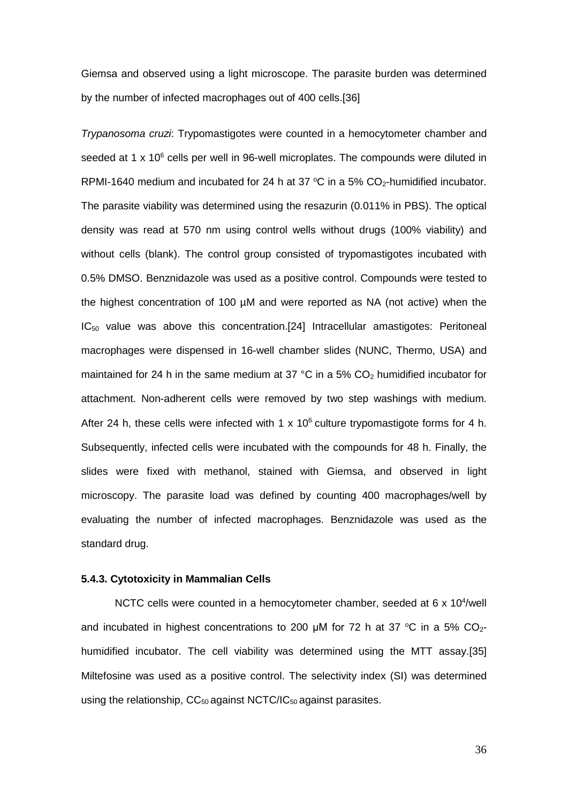Giemsa and observed using a light microscope. The parasite burden was determined by the number of infected macrophages out of 400 cells.[36]

*Trypanosoma cruzi*: Trypomastigotes were counted in a hemocytometer chamber and seeded at 1  $\times$  10 $^{6}$  cells per well in 96-well microplates. The compounds were diluted in RPMI-1640 medium and incubated for 24 h at 37  $^{\circ}$ C in a 5% CO<sub>2</sub>-humidified incubator. The parasite viability was determined using the resazurin (0.011% in PBS). The optical density was read at 570 nm using control wells without drugs (100% viability) and without cells (blank). The control group consisted of trypomastigotes incubated with 0.5% DMSO. Benznidazole was used as a positive control. Compounds were tested to the highest concentration of 100 µM and were reported as NA (not active) when the IC50 value was above this concentration.[24] Intracellular amastigotes: Peritoneal macrophages were dispensed in 16-well chamber slides (NUNC, Thermo, USA) and maintained for 24 h in the same medium at 37 °C in a 5%  $CO<sub>2</sub>$  humidified incubator for attachment. Non-adherent cells were removed by two step washings with medium. After 24 h, these cells were infected with 1 x  $10^6$  culture trypomastigote forms for 4 h. Subsequently, infected cells were incubated with the compounds for 48 h. Finally, the slides were fixed with methanol, stained with Giemsa, and observed in light microscopy. The parasite load was defined by counting 400 macrophages/well by evaluating the number of infected macrophages. Benznidazole was used as the standard drug.

# **5.4.3. Cytotoxicity in Mammalian Cells**

NCTC cells were counted in a hemocytometer chamber, seeded at  $6 \times 10^4$ /well and incubated in highest concentrations to 200  $\mu$ M for 72 h at 37 °C in a 5% CO<sub>2</sub>humidified incubator. The cell viability was determined using the MTT assay.[35] Miltefosine was used as a positive control. The selectivity index (SI) was determined using the relationship,  $CC_{50}$  against NCTC/IC<sub>50</sub> against parasites.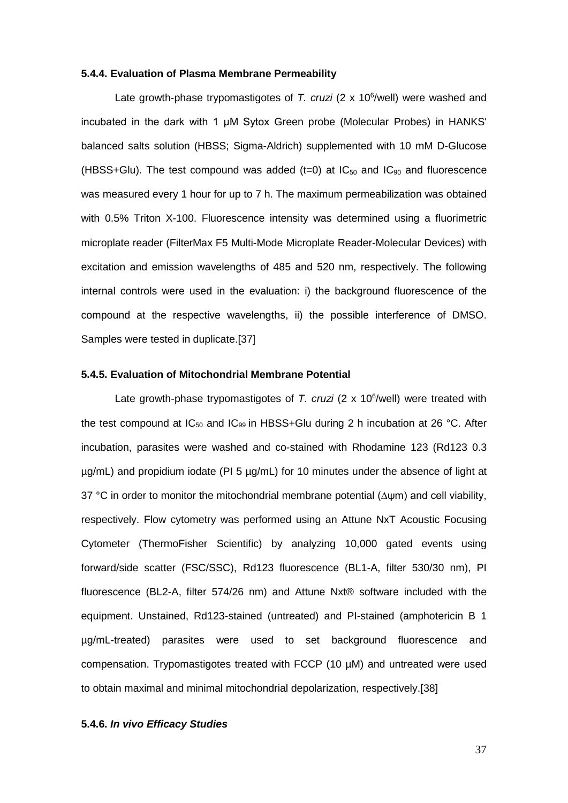#### **5.4.4. Evaluation of Plasma Membrane Permeability**

Late growth-phase trypomastigotes of T. cruzi (2 x 10<sup>6</sup>/well) were washed and incubated in the dark with 1 μM Sytox Green probe (Molecular Probes) in HANKS' balanced salts solution (HBSS; Sigma-Aldrich) supplemented with 10 mM D-Glucose (HBSS+Glu). The test compound was added  $(t=0)$  at  $IC_{50}$  and  $IC_{90}$  and fluorescence was measured every 1 hour for up to 7 h. The maximum permeabilization was obtained with 0.5% Triton X-100. Fluorescence intensity was determined using a fluorimetric microplate reader (FilterMax F5 Multi-Mode Microplate Reader-Molecular Devices) with excitation and emission wavelengths of 485 and 520 nm, respectively. The following internal controls were used in the evaluation: i) the background fluorescence of the compound at the respective wavelengths, ii) the possible interference of DMSO. Samples were tested in duplicate.[37]

## **5.4.5. Evaluation of Mitochondrial Membrane Potential**

Late growth-phase trypomastigotes of T. cruzi (2 x 10<sup>6</sup>/well) were treated with the test compound at  $IC_{50}$  and  $IC_{99}$  in HBSS+Glu during 2 h incubation at 26 °C. After incubation, parasites were washed and co-stained with Rhodamine 123 (Rd123 0.3 µg/mL) and propidium iodate (PI 5 µg/mL) for 10 minutes under the absence of light at 37 °C in order to monitor the mitochondrial membrane potential (∆ψm) and cell viability, respectively. Flow cytometry was performed using an Attune NxT Acoustic Focusing Cytometer (ThermoFisher Scientific) by analyzing 10,000 gated events using forward/side scatter (FSC/SSC), Rd123 fluorescence (BL1-A, filter 530/30 nm), PI fluorescence (BL2-A, filter 574/26 nm) and Attune Nxt® software included with the equipment. Unstained, Rd123-stained (untreated) and PI-stained (amphotericin B 1 µg/mL-treated) parasites were used to set background fluorescence and compensation. Trypomastigotes treated with FCCP (10 µM) and untreated were used to obtain maximal and minimal mitochondrial depolarization, respectively.[38]

# **5.4.6.** *In vivo Efficacy Studies*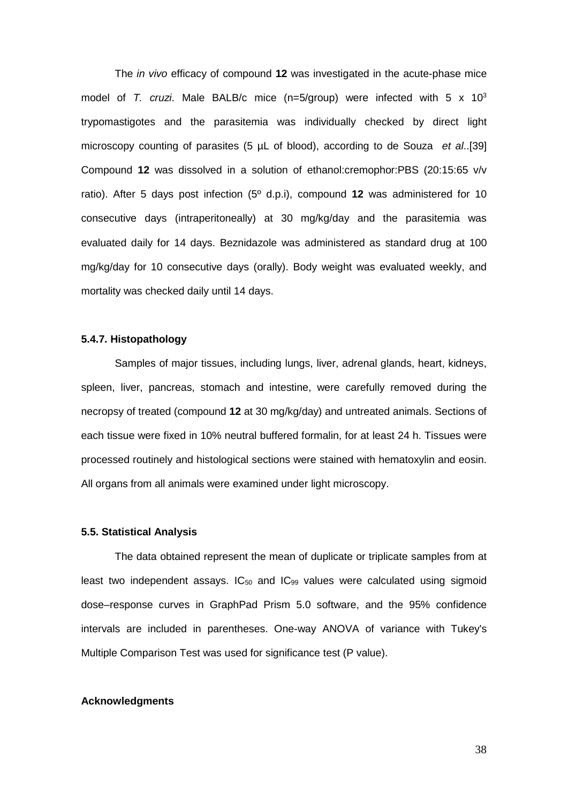The *in vivo* efficacy of compound **12** was investigated in the acute-phase mice model of *T. cruzi*. Male BALB/c mice (n=5/group) were infected with 5 x 103 trypomastigotes and the parasitemia was individually checked by direct light microscopy counting of parasites (5 µL of blood), according to de Souza *et al*..[39] Compound **12** was dissolved in a solution of ethanol:cremophor:PBS (20:15:65 v/v ratio). After 5 days post infection (5º d.p.i), compound **12** was administered for 10 consecutive days (intraperitoneally) at 30 mg/kg/day and the parasitemia was evaluated daily for 14 days. Beznidazole was administered as standard drug at 100 mg/kg/day for 10 consecutive days (orally). Body weight was evaluated weekly, and mortality was checked daily until 14 days.

# **5.4.7. Histopathology**

Samples of major tissues, including lungs, liver, adrenal glands, heart, kidneys, spleen, liver, pancreas, stomach and intestine, were carefully removed during the necropsy of treated (compound **12** at 30 mg/kg/day) and untreated animals. Sections of each tissue were fixed in 10% neutral buffered formalin, for at least 24 h. Tissues were processed routinely and histological sections were stained with hematoxylin and eosin. All organs from all animals were examined under light microscopy.

#### **5.5. Statistical Analysis**

The data obtained represent the mean of duplicate or triplicate samples from at least two independent assays.  $IC_{50}$  and  $IC_{99}$  values were calculated using sigmoid dose–response curves in GraphPad Prism 5.0 software, and the 95% confidence intervals are included in parentheses. One-way ANOVA of variance with Tukey's Multiple Comparison Test was used for significance test (P value).

## **Acknowledgments**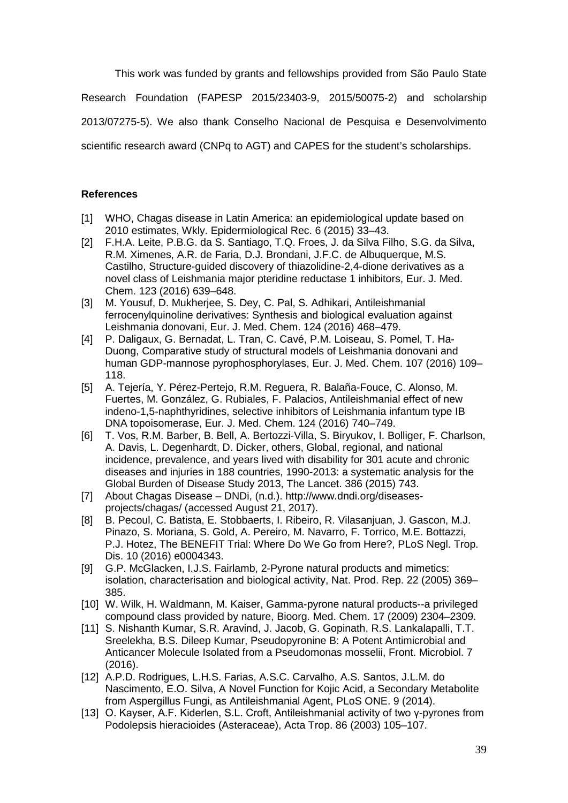This work was funded by grants and fellowships provided from São Paulo State

Research Foundation (FAPESP 2015/23403-9, 2015/50075-2) and scholarship

2013/07275-5). We also thank Conselho Nacional de Pesquisa e Desenvolvimento

scientific research award (CNPq to AGT) and CAPES for the student's scholarships.

# **References**

- [1] WHO, Chagas disease in Latin America: an epidemiological update based on 2010 estimates, Wkly. Epidermiological Rec. 6 (2015) 33–43.
- [2] F.H.A. Leite, P.B.G. da S. Santiago, T.Q. Froes, J. da Silva Filho, S.G. da Silva, R.M. Ximenes, A.R. de Faria, D.J. Brondani, J.F.C. de Albuquerque, M.S. Castilho, Structure-guided discovery of thiazolidine-2,4-dione derivatives as a novel class of Leishmania major pteridine reductase 1 inhibitors, Eur. J. Med. Chem. 123 (2016) 639–648.
- [3] M. Yousuf, D. Mukherjee, S. Dey, C. Pal, S. Adhikari, Antileishmanial ferrocenylquinoline derivatives: Synthesis and biological evaluation against Leishmania donovani, Eur. J. Med. Chem. 124 (2016) 468–479.
- [4] P. Daligaux, G. Bernadat, L. Tran, C. Cavé, P.M. Loiseau, S. Pomel, T. Ha-Duong, Comparative study of structural models of Leishmania donovani and human GDP-mannose pyrophosphorylases, Eur. J. Med. Chem. 107 (2016) 109– 118.
- [5] A. Tejería, Y. Pérez-Pertejo, R.M. Reguera, R. Balaña-Fouce, C. Alonso, M. Fuertes, M. González, G. Rubiales, F. Palacios, Antileishmanial effect of new indeno-1,5-naphthyridines, selective inhibitors of Leishmania infantum type IB DNA topoisomerase, Eur. J. Med. Chem. 124 (2016) 740–749.
- [6] T. Vos, R.M. Barber, B. Bell, A. Bertozzi-Villa, S. Biryukov, I. Bolliger, F. Charlson, A. Davis, L. Degenhardt, D. Dicker, others, Global, regional, and national incidence, prevalence, and years lived with disability for 301 acute and chronic diseases and injuries in 188 countries, 1990-2013: a systematic analysis for the Global Burden of Disease Study 2013, The Lancet. 386 (2015) 743.
- [7] About Chagas Disease DNDi, (n.d.). http://www.dndi.org/diseasesprojects/chagas/ (accessed August 21, 2017).
- [8] B. Pecoul, C. Batista, E. Stobbaerts, I. Ribeiro, R. Vilasanjuan, J. Gascon, M.J. Pinazo, S. Moriana, S. Gold, A. Pereiro, M. Navarro, F. Torrico, M.E. Bottazzi, P.J. Hotez, The BENEFIT Trial: Where Do We Go from Here?, PLoS Negl. Trop. Dis. 10 (2016) e0004343.
- [9] G.P. McGlacken, I.J.S. Fairlamb, 2-Pyrone natural products and mimetics: isolation, characterisation and biological activity, Nat. Prod. Rep. 22 (2005) 369– 385.
- [10] W. Wilk, H. Waldmann, M. Kaiser, Gamma-pyrone natural products--a privileged compound class provided by nature, Bioorg. Med. Chem. 17 (2009) 2304–2309.
- [11] S. Nishanth Kumar, S.R. Aravind, J. Jacob, G. Gopinath, R.S. Lankalapalli, T.T. Sreelekha, B.S. Dileep Kumar, Pseudopyronine B: A Potent Antimicrobial and Anticancer Molecule Isolated from a Pseudomonas mosselii, Front. Microbiol. 7 (2016).
- [12] A.P.D. Rodrigues, L.H.S. Farias, A.S.C. Carvalho, A.S. Santos, J.L.M. do Nascimento, E.O. Silva, A Novel Function for Kojic Acid, a Secondary Metabolite from Aspergillus Fungi, as Antileishmanial Agent, PLoS ONE. 9 (2014).
- [13] O. Kayser, A.F. Kiderlen, S.L. Croft, Antileishmanial activity of two γ-pyrones from Podolepsis hieracioides (Asteraceae), Acta Trop. 86 (2003) 105–107.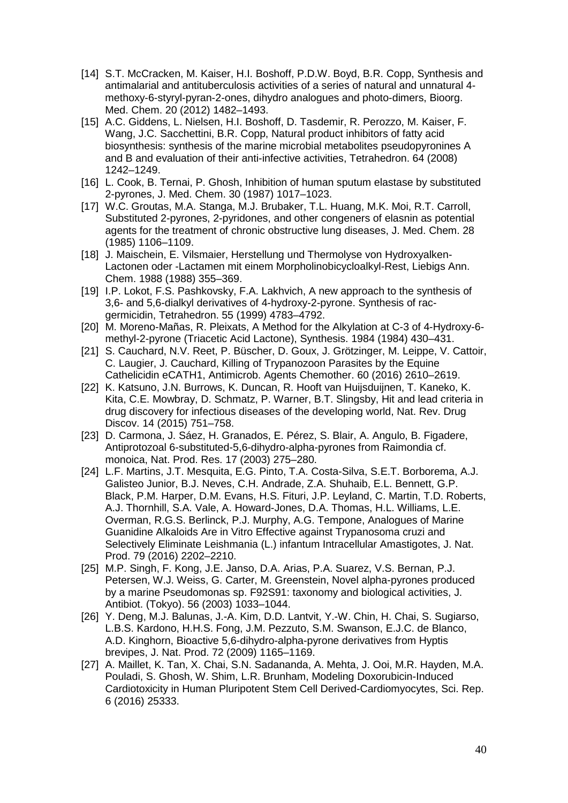- [14] S.T. McCracken, M. Kaiser, H.I. Boshoff, P.D.W. Boyd, B.R. Copp, Synthesis and antimalarial and antituberculosis activities of a series of natural and unnatural 4 methoxy-6-styryl-pyran-2-ones, dihydro analogues and photo-dimers, Bioorg. Med. Chem. 20 (2012) 1482–1493.
- [15] A.C. Giddens, L. Nielsen, H.I. Boshoff, D. Tasdemir, R. Perozzo, M. Kaiser, F. Wang, J.C. Sacchettini, B.R. Copp, Natural product inhibitors of fatty acid biosynthesis: synthesis of the marine microbial metabolites pseudopyronines A and B and evaluation of their anti-infective activities, Tetrahedron. 64 (2008) 1242–1249.
- [16] L. Cook, B. Ternai, P. Ghosh, Inhibition of human sputum elastase by substituted 2-pyrones, J. Med. Chem. 30 (1987) 1017–1023.
- [17] W.C. Groutas, M.A. Stanga, M.J. Brubaker, T.L. Huang, M.K. Moi, R.T. Carroll, Substituted 2-pyrones, 2-pyridones, and other congeners of elasnin as potential agents for the treatment of chronic obstructive lung diseases, J. Med. Chem. 28 (1985) 1106–1109.
- [18] J. Maischein, E. Vilsmaier, Herstellung und Thermolyse von Hydroxyalken-Lactonen oder -Lactamen mit einem Morpholinobicycloalkyl-Rest, Liebigs Ann. Chem. 1988 (1988) 355–369.
- [19] I.P. Lokot, F.S. Pashkovsky, F.A. Lakhvich, A new approach to the synthesis of 3,6- and 5,6-dialkyl derivatives of 4-hydroxy-2-pyrone. Synthesis of racgermicidin, Tetrahedron. 55 (1999) 4783–4792.
- [20] M. Moreno-Mañas, R. Pleixats, A Method for the Alkylation at C-3 of 4-Hydroxy-6 methyl-2-pyrone (Triacetic Acid Lactone), Synthesis. 1984 (1984) 430–431.
- [21] S. Cauchard, N.V. Reet, P. Büscher, D. Goux, J. Grötzinger, M. Leippe, V. Cattoir, C. Laugier, J. Cauchard, Killing of Trypanozoon Parasites by the Equine Cathelicidin eCATH1, Antimicrob. Agents Chemother. 60 (2016) 2610–2619.
- [22] K. Katsuno, J.N. Burrows, K. Duncan, R. Hooft van Huijsduijnen, T. Kaneko, K. Kita, C.E. Mowbray, D. Schmatz, P. Warner, B.T. Slingsby, Hit and lead criteria in drug discovery for infectious diseases of the developing world, Nat. Rev. Drug Discov. 14 (2015) 751–758.
- [23] D. Carmona, J. Sáez, H. Granados, E. Pérez, S. Blair, A. Angulo, B. Figadere, Antiprotozoal 6-substituted-5,6-dihydro-alpha-pyrones from Raimondia cf. monoica, Nat. Prod. Res. 17 (2003) 275–280.
- [24] L.F. Martins, J.T. Mesquita, E.G. Pinto, T.A. Costa-Silva, S.E.T. Borborema, A.J. Galisteo Junior, B.J. Neves, C.H. Andrade, Z.A. Shuhaib, E.L. Bennett, G.P. Black, P.M. Harper, D.M. Evans, H.S. Fituri, J.P. Leyland, C. Martin, T.D. Roberts, A.J. Thornhill, S.A. Vale, A. Howard-Jones, D.A. Thomas, H.L. Williams, L.E. Overman, R.G.S. Berlinck, P.J. Murphy, A.G. Tempone, Analogues of Marine Guanidine Alkaloids Are in Vitro Effective against Trypanosoma cruzi and Selectively Eliminate Leishmania (L.) infantum Intracellular Amastigotes, J. Nat. Prod. 79 (2016) 2202–2210.
- [25] M.P. Singh, F. Kong, J.E. Janso, D.A. Arias, P.A. Suarez, V.S. Bernan, P.J. Petersen, W.J. Weiss, G. Carter, M. Greenstein, Novel alpha-pyrones produced by a marine Pseudomonas sp. F92S91: taxonomy and biological activities, J. Antibiot. (Tokyo). 56 (2003) 1033–1044.
- [26] Y. Deng, M.J. Balunas, J.-A. Kim, D.D. Lantvit, Y.-W. Chin, H. Chai, S. Sugiarso, L.B.S. Kardono, H.H.S. Fong, J.M. Pezzuto, S.M. Swanson, E.J.C. de Blanco, A.D. Kinghorn, Bioactive 5,6-dihydro-alpha-pyrone derivatives from Hyptis brevipes, J. Nat. Prod. 72 (2009) 1165–1169.
- [27] A. Maillet, K. Tan, X. Chai, S.N. Sadananda, A. Mehta, J. Ooi, M.R. Hayden, M.A. Pouladi, S. Ghosh, W. Shim, L.R. Brunham, Modeling Doxorubicin-Induced Cardiotoxicity in Human Pluripotent Stem Cell Derived-Cardiomyocytes, Sci. Rep. 6 (2016) 25333.